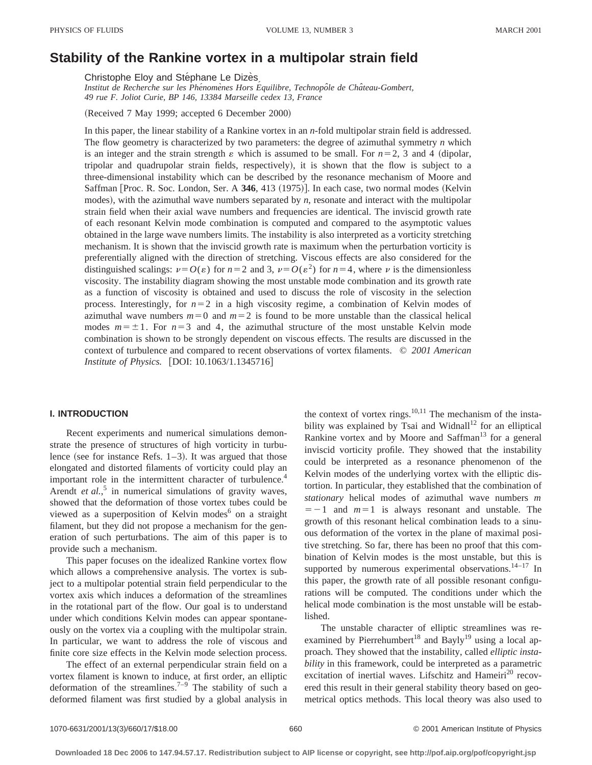# **Stability of the Rankine vortex in a multipolar strain field**

Christophe Eloy and Stéphane Le Dizès

*Institut de Recherche sur les Phe´nome`nes Hors E´ quilibre, Technopoˆle de Chaˆteau-Gombert, 49 rue F. Joliot Curie, BP 146, 13384 Marseille cedex 13, France*

(Received 7 May 1999; accepted 6 December 2000)

In this paper, the linear stability of a Rankine vortex in an *n*-fold multipolar strain field is addressed. The flow geometry is characterized by two parameters: the degree of azimuthal symmetry *n* which is an integer and the strain strength  $\varepsilon$  which is assumed to be small. For  $n=2, 3$  and 4 (dipolar, tripolar and quadrupolar strain fields, respectively), it is shown that the flow is subject to a three-dimensional instability which can be described by the resonance mechanism of Moore and Saffman [Proc. R. Soc. London, Ser. A 346, 413 (1975)]. In each case, two normal modes (Kelvin modes), with the azimuthal wave numbers separated by  $n$ , resonate and interact with the multipolar strain field when their axial wave numbers and frequencies are identical. The inviscid growth rate of each resonant Kelvin mode combination is computed and compared to the asymptotic values obtained in the large wave numbers limits. The instability is also interpreted as a vorticity stretching mechanism. It is shown that the inviscid growth rate is maximum when the perturbation vorticity is preferentially aligned with the direction of stretching. Viscous effects are also considered for the distinguished scalings:  $\nu = O(\varepsilon)$  for  $n=2$  and 3,  $\nu = O(\varepsilon^2)$  for  $n=4$ , where  $\nu$  is the dimensionless viscosity. The instability diagram showing the most unstable mode combination and its growth rate as a function of viscosity is obtained and used to discuss the role of viscosity in the selection process. Interestingly, for  $n=2$  in a high viscosity regime, a combination of Kelvin modes of azimuthal wave numbers  $m=0$  and  $m=2$  is found to be more unstable than the classical helical modes  $m=\pm1$ . For  $n=3$  and 4, the azimuthal structure of the most unstable Kelvin mode combination is shown to be strongly dependent on viscous effects. The results are discussed in the context of turbulence and compared to recent observations of vortex filaments. © *2001 American Institute of Physics.* [DOI: 10.1063/1.1345716]

## **I. INTRODUCTION**

Recent experiments and numerical simulations demonstrate the presence of structures of high vorticity in turbulence (see for instance Refs.  $1-3$ ). It was argued that those elongated and distorted filaments of vorticity could play an important role in the intermittent character of turbulence.<sup>4</sup> Arendt *et al.*<sup>5</sup> in numerical simulations of gravity waves, showed that the deformation of those vortex tubes could be viewed as a superposition of Kelvin modes<sup>6</sup> on a straight filament, but they did not propose a mechanism for the generation of such perturbations. The aim of this paper is to provide such a mechanism.

This paper focuses on the idealized Rankine vortex flow which allows a comprehensive analysis. The vortex is subject to a multipolar potential strain field perpendicular to the vortex axis which induces a deformation of the streamlines in the rotational part of the flow. Our goal is to understand under which conditions Kelvin modes can appear spontaneously on the vortex via a coupling with the multipolar strain. In particular, we want to address the role of viscous and finite core size effects in the Kelvin mode selection process.

The effect of an external perpendicular strain field on a vortex filament is known to induce, at first order, an elliptic deformation of the streamlines.<sup>7-9</sup> The stability of such a deformed filament was first studied by a global analysis in the context of vortex rings. $10,11$  The mechanism of the instability was explained by Tsai and Widnall<sup>12</sup> for an elliptical Rankine vortex and by Moore and Saffman $13$  for a general inviscid vorticity profile. They showed that the instability could be interpreted as a resonance phenomenon of the Kelvin modes of the underlying vortex with the elliptic distortion. In particular, they established that the combination of *stationary* helical modes of azimuthal wave numbers *m*  $=$  -1 and  $m=1$  is always resonant and unstable. The growth of this resonant helical combination leads to a sinuous deformation of the vortex in the plane of maximal positive stretching. So far, there has been no proof that this combination of Kelvin modes is the most unstable, but this is supported by numerous experimental observations. $14-17$  In this paper, the growth rate of all possible resonant configurations will be computed. The conditions under which the helical mode combination is the most unstable will be established.

The unstable character of elliptic streamlines was reexamined by Pierrehumbert<sup>18</sup> and Bayly<sup>19</sup> using a local approach. They showed that the instability, called *elliptic instability* in this framework, could be interpreted as a parametric excitation of inertial waves. Lifschitz and Hameiri<sup>20</sup> recovered this result in their general stability theory based on geometrical optics methods. This local theory was also used to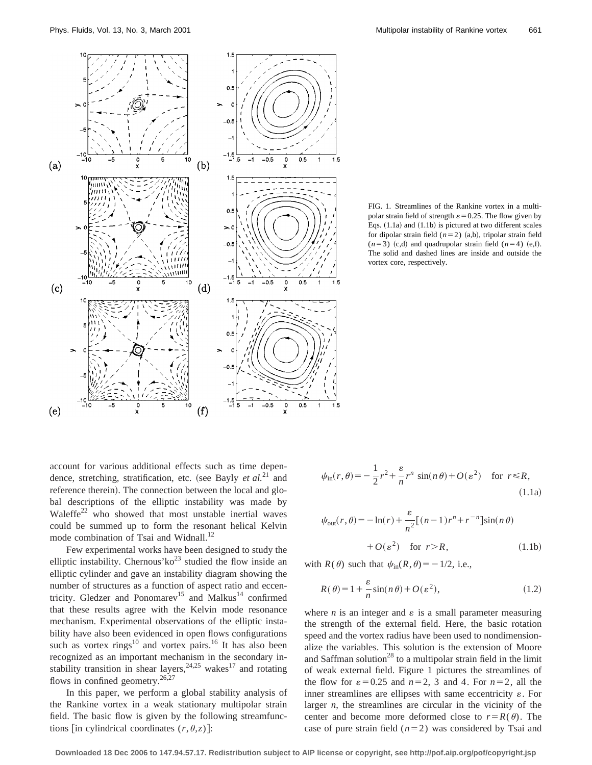

FIG. 1. Streamlines of the Rankine vortex in a multipolar strain field of strength  $\varepsilon$  = 0.25. The flow given by Eqs.  $(1.1a)$  and  $(1.1b)$  is pictured at two different scales for dipolar strain field  $(n=2)$   $(a,b)$ , tripolar strain field  $(n=3)$  (c,d) and quadrupolar strain field  $(n=4)$  (e,f). The solid and dashed lines are inside and outside the vortex core, respectively.

account for various additional effects such as time dependence, stretching, stratification, etc. (see Bayly *et al.*<sup>21</sup> and reference therein). The connection between the local and global descriptions of the elliptic instability was made by Waleffe<sup>22</sup> who showed that most unstable inertial waves could be summed up to form the resonant helical Kelvin mode combination of Tsai and Widnall.<sup>12</sup>

Few experimental works have been designed to study the elliptic instability. Chernous'ko<sup>23</sup> studied the flow inside an elliptic cylinder and gave an instability diagram showing the number of structures as a function of aspect ratio and eccentricity. Gledzer and Ponomarev<sup>15</sup> and Malkus<sup>14</sup> confirmed that these results agree with the Kelvin mode resonance mechanism. Experimental observations of the elliptic instability have also been evidenced in open flows configurations such as vortex rings $^{10}$  and vortex pairs.<sup>16</sup> It has also been recognized as an important mechanism in the secondary instability transition in shear layers,  $24.25$  wakes<sup>17</sup> and rotating flows in confined geometry.<sup>26,27</sup>

In this paper, we perform a global stability analysis of the Rankine vortex in a weak stationary multipolar strain field. The basic flow is given by the following streamfunctions [in cylindrical coordinates  $(r, \theta, z)$ ]:

$$
\psi_{\rm in}(r,\theta) = -\frac{1}{2}r^2 + \frac{\varepsilon}{n}r^n\,\sin(n\,\theta) + O(\varepsilon^2) \quad \text{for } r \le R,\tag{1.1a}
$$

$$
\psi_{\text{out}}(r,\theta) = -\ln(r) + \frac{\varepsilon}{n^2} [(n-1)r^n + r^{-n}] \sin(n\theta)
$$

$$
+ O(\varepsilon^2) \quad \text{for } r > R,
$$
(1.1b)

with  $R(\theta)$  such that  $\psi_{in}(R,\theta) = -1/2$ , i.e.,

$$
R(\theta) = 1 + \frac{\varepsilon}{n} \sin(n\theta) + O(\varepsilon^2),\tag{1.2}
$$

where  $n$  is an integer and  $\varepsilon$  is a small parameter measuring the strength of the external field. Here, the basic rotation speed and the vortex radius have been used to nondimensionalize the variables. This solution is the extension of Moore and Saffman solution<sup>28</sup> to a multipolar strain field in the limit of weak external field. Figure 1 pictures the streamlines of the flow for  $\varepsilon = 0.25$  and  $n=2$ , 3 and 4. For  $n=2$ , all the inner streamlines are ellipses with same eccentricity  $\varepsilon$ . For larger *n*, the streamlines are circular in the vicinity of the center and become more deformed close to  $r = R(\theta)$ . The case of pure strain field  $(n=2)$  was considered by Tsai and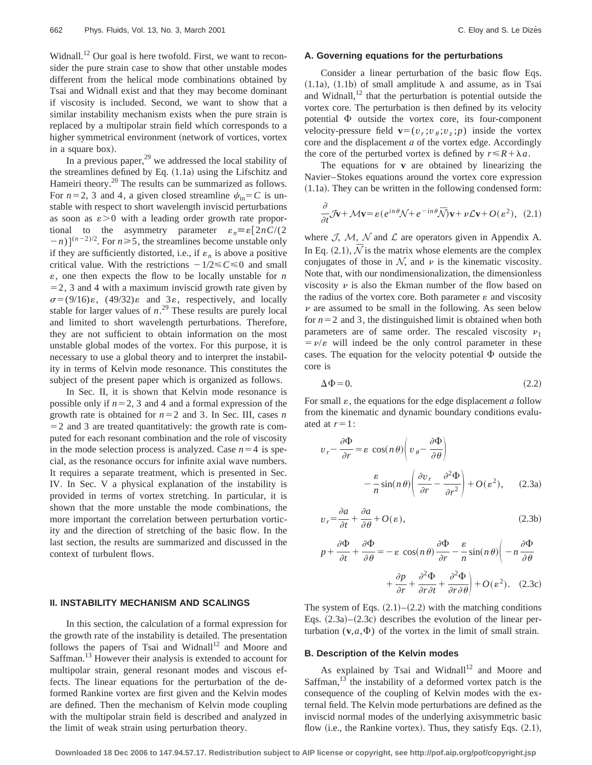Widnall.<sup>12</sup> Our goal is here twofold. First, we want to reconsider the pure strain case to show that other unstable modes different from the helical mode combinations obtained by Tsai and Widnall exist and that they may become dominant if viscosity is included. Second, we want to show that a similar instability mechanism exists when the pure strain is replaced by a multipolar strain field which corresponds to a higher symmetrical environment (network of vortices, vortex in a square box).

In a previous paper,  $^{29}$  we addressed the local stability of the streamlines defined by Eq.  $(1.1a)$  using the Lifschitz and Hameiri theory.<sup>20</sup> The results can be summarized as follows. For  $n=2$ , 3 and 4, a given closed streamline  $\psi_{\text{in}} = C$  is unstable with respect to short wavelength inviscid perturbations as soon as  $\varepsilon > 0$  with a leading order growth rate proportional to the asymmetry parameter  $\varepsilon_n \equiv \varepsilon \left[2nC/(2)\right]$  $(-n)$ <sup>[ $(n-2)/2$ </sup>. For  $n \ge 5$ , the streamlines become unstable only if they are sufficiently distorted, i.e., if  $\varepsilon_n$  is above a positive critical value. With the restrictions  $-1/2 \le C \le 0$  and small  $\varepsilon$ , one then expects the flow to be locally unstable for *n*  $=$  2, 3 and 4 with a maximum inviscid growth rate given by  $\sigma = (9/16)\varepsilon$ ,  $(49/32)\varepsilon$  and 3 $\varepsilon$ , respectively, and locally stable for larger values of  $n^{29}$  These results are purely local and limited to short wavelength perturbations. Therefore, they are not sufficient to obtain information on the most unstable global modes of the vortex. For this purpose, it is necessary to use a global theory and to interpret the instability in terms of Kelvin mode resonance. This constitutes the subject of the present paper which is organized as follows.

In Sec. II, it is shown that Kelvin mode resonance is possible only if  $n=2$ , 3 and 4 and a formal expression of the growth rate is obtained for  $n=2$  and 3. In Sec. III, cases *n*  $=$  2 and 3 are treated quantitatively: the growth rate is computed for each resonant combination and the role of viscosity in the mode selection process is analyzed. Case  $n=4$  is special, as the resonance occurs for infinite axial wave numbers. It requires a separate treatment, which is presented in Sec. IV. In Sec. V a physical explanation of the instability is provided in terms of vortex stretching. In particular, it is shown that the more unstable the mode combinations, the more important the correlation between perturbation vorticity and the direction of stretching of the basic flow. In the last section, the results are summarized and discussed in the context of turbulent flows.

### **II. INSTABILITY MECHANISM AND SCALINGS**

In this section, the calculation of a formal expression for the growth rate of the instability is detailed. The presentation follows the papers of Tsai and Widnall<sup>12</sup> and Moore and Saffman.<sup>13</sup> However their analysis is extended to account for multipolar strain, general resonant modes and viscous effects. The linear equations for the perturbation of the deformed Rankine vortex are first given and the Kelvin modes are defined. Then the mechanism of Kelvin mode coupling with the multipolar strain field is described and analyzed in the limit of weak strain using perturbation theory.

### **A. Governing equations for the perturbations**

Consider a linear perturbation of the basic flow Eqs.  $(1.1a)$ ,  $(1.1b)$  of small amplitude  $\lambda$  and assume, as in Tsai and Widnall, $12$  that the perturbation is potential outside the vortex core. The perturbation is then defined by its velocity potential  $\Phi$  outside the vortex core, its four-component velocity-pressure field  $\mathbf{v}=(v_r; v_\theta; v_\tau; p)$  inside the vortex core and the displacement *a* of the vortex edge. Accordingly the core of the perturbed vortex is defined by  $r \leq R + \lambda a$ .

The equations for **v** are obtained by linearizing the Navier–Stokes equations around the vortex core expression  $(1.1a)$ . They can be written in the following condensed form:

$$
\frac{\partial}{\partial t} \mathcal{J} \mathbf{v} + \mathcal{M} \mathbf{v} = \varepsilon (e^{in\theta} \mathcal{N} + e^{-in\theta} \overline{\mathcal{N}}) \mathbf{v} + \nu \mathcal{L} \mathbf{v} + O(\varepsilon^2), \tag{2.1}
$$

where  $J$ ,  $M$ ,  $N$  and  $L$  are operators given in Appendix A. In Eq.  $(2.1)$ ,  $\bar{N}$  is the matrix whose elements are the complex conjugates of those in  $N$ , and  $\nu$  is the kinematic viscosity. Note that, with our nondimensionalization, the dimensionless viscosity  $\nu$  is also the Ekman number of the flow based on the radius of the vortex core. Both parameter  $\varepsilon$  and viscosity  $\nu$  are assumed to be small in the following. As seen below for  $n=2$  and 3, the distinguished limit is obtained when both parameters are of same order. The rescaled viscosity  $\nu_1$  $= v/\varepsilon$  will indeed be the only control parameter in these cases. The equation for the velocity potential  $\Phi$  outside the core is

$$
\Delta \Phi = 0. \tag{2.2}
$$

For small  $\varepsilon$ , the equations for the edge displacement  $a$  follow from the kinematic and dynamic boundary conditions evaluated at  $r=1$ :

$$
v_r - \frac{\partial \Phi}{\partial r} = \varepsilon \cos(n\theta) \left( v_\theta - \frac{\partial \Phi}{\partial \theta} \right)
$$

$$
- \frac{\varepsilon}{n} \sin(n\theta) \left( \frac{\partial v_r}{\partial r} - \frac{\partial^2 \Phi}{\partial r^2} \right) + O(\varepsilon^2), \qquad (2.3a)
$$

$$
v_r = \frac{\partial a}{\partial t} + \frac{\partial a}{\partial \theta} + O(\varepsilon),\tag{2.3b}
$$

$$
p + \frac{\partial \Phi}{\partial t} + \frac{\partial \Phi}{\partial \theta} = -\varepsilon \cos(n\theta) \frac{\partial \Phi}{\partial r} - \frac{\varepsilon}{n} \sin(n\theta) \left( -n \frac{\partial \Phi}{\partial \theta} + \frac{\partial p}{\partial r} + \frac{\partial^2 \Phi}{\partial r \partial t} + \frac{\partial^2 \Phi}{\partial r \partial \theta} \right) + O(\varepsilon^2). \quad (2.3c)
$$

The system of Eqs.  $(2.1)$ – $(2.2)$  with the matching conditions Eqs.  $(2.3a)$ – $(2.3c)$  describes the evolution of the linear perturbation  $(v, a, \Phi)$  of the vortex in the limit of small strain.

### **B. Description of the Kelvin modes**

As explained by Tsai and Widnall<sup>12</sup> and Moore and Saffman, $^{13}$  the instability of a deformed vortex patch is the consequence of the coupling of Kelvin modes with the external field. The Kelvin mode perturbations are defined as the inviscid normal modes of the underlying axisymmetric basic flow (i.e., the Rankine vortex). Thus, they satisfy Eqs.  $(2.1)$ ,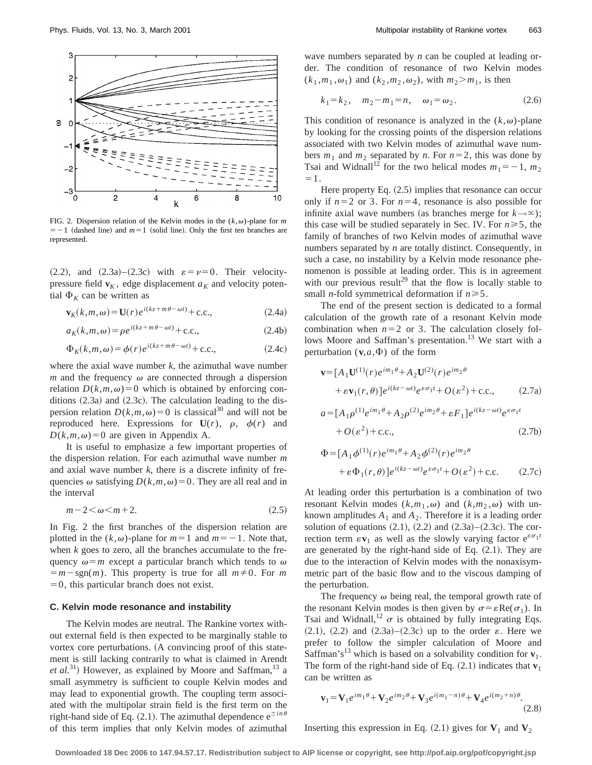

FIG. 2. Dispersion relation of the Kelvin modes in the  $(k, \omega)$ -plane for *m*  $=$  -1 (dashed line) and  $m=1$  (solid line). Only the first ten branches are represented.

 $(2.2)$ , and  $(2.3a)$ – $(2.3c)$  with  $\varepsilon = \nu = 0$ . Their velocitypressure field  $\mathbf{v}_K$ , edge displacement  $a_K$  and velocity potential  $\Phi_K$  can be written as

$$
\mathbf{v}_K(k,m,\omega) = \mathbf{U}(r)e^{i(kz+m\theta-\omega t)} + \text{c.c.},\tag{2.4a}
$$

$$
a_K(k,m,\omega) = \rho e^{i(kz+m\theta-\omega t)} + \text{c.c.},\tag{2.4b}
$$

$$
\Phi_K(k,m,\omega) = \phi(r)e^{i(kz+m\theta-\omega t)} + \text{c.c.},\tag{2.4c}
$$

where the axial wave number  $k$ , the azimuthal wave number *m* and the frequency  $\omega$  are connected through a dispersion relation  $D(k,m,\omega)=0$  which is obtained by enforcing conditions  $(2.3a)$  and  $(2.3c)$ . The calculation leading to the dispersion relation  $D(k,m,\omega)=0$  is classical<sup>30</sup> and will not be reproduced here. Expressions for  $U(r)$ ,  $\rho$ ,  $\phi(r)$  and  $D(k,m,\omega) = 0$  are given in Appendix A.

It is useful to emphasize a few important properties of the dispersion relation. For each azimuthal wave number *m* and axial wave number  $k$ , there is a discrete infinity of frequencies  $\omega$  satisfying  $D(k,m,\omega)=0$ . They are all real and in the interval

$$
m-2<\omega
$$

In Fig. 2 the first branches of the dispersion relation are plotted in the  $(k, \omega)$ -plane for  $m=1$  and  $m=-1$ . Note that, when *k* goes to zero, all the branches accumulate to the frequency  $\omega = m$  except a particular branch which tends to  $\omega$  $=m-sgn(m)$ . This property is true for all  $m\neq0$ . For *m*  $=0$ , this particular branch does not exist.

### **C. Kelvin mode resonance and instability**

The Kelvin modes are neutral. The Rankine vortex without external field is then expected to be marginally stable to vortex core perturbations. (A convincing proof of this statement is still lacking contrarily to what is claimed in Arendt *et al.*<sup>31</sup>) However, as explained by Moore and Saffman,  $^{13}$  a small asymmetry is sufficient to couple Kelvin modes and may lead to exponential growth. The coupling term associated with the multipolar strain field is the first term on the right-hand side of Eq.  $(2.1)$ . The azimuthal dependence  $e^{\pm in\theta}$ of this term implies that only Kelvin modes of azimuthal wave numbers separated by *n* can be coupled at leading order. The condition of resonance of two Kelvin modes  $(k_1, m_1, \omega_1)$  and  $(k_2, m_2, \omega_2)$ , with  $m_2 > m_1$ , is then

$$
k_1 = k_2, \quad m_2 - m_1 = n, \quad \omega_1 = \omega_2. \tag{2.6}
$$

This condition of resonance is analyzed in the  $(k, \omega)$ -plane by looking for the crossing points of the dispersion relations associated with two Kelvin modes of azimuthal wave numbers  $m_1$  and  $m_2$  separated by *n*. For  $n=2$ , this was done by Tsai and Widnall<sup>12</sup> for the two helical modes  $m_1 = -1$ ,  $m_2$  $=1$ .

Here property Eq.  $(2.5)$  implies that resonance can occur only if  $n=2$  or 3. For  $n=4$ , resonance is also possible for infinite axial wave numbers (as branches merge for  $k \rightarrow \infty$ ); this case will be studied separately in Sec. IV. For  $n \geq 5$ , the family of branches of two Kelvin modes of azimuthal wave numbers separated by *n* are totally distinct. Consequently, in such a case, no instability by a Kelvin mode resonance phenomenon is possible at leading order. This is in agreement with our previous result<sup>29</sup> that the flow is locally stable to small *n*-fold symmetrical deformation if  $n \ge 5$ .

The end of the present section is dedicated to a formal calculation of the growth rate of a resonant Kelvin mode combination when  $n=2$  or 3. The calculation closely follows Moore and Saffman's presentation.<sup>13</sup> We start with a perturbation  $(\mathbf{v}, a, \Phi)$  of the form

$$
\mathbf{v} = [A_1 \mathbf{U}^{(1)}(r) e^{im_1 \theta} + A_2 \mathbf{U}^{(2)}(r) e^{im_2 \theta} + \varepsilon \mathbf{v}_1(r, \theta)] e^{i(kz - \omega t)} e^{\varepsilon \sigma_1 t} + O(\varepsilon^2) + \text{c.c.},
$$
 (2.7a)

$$
a = [A_1 \rho^{(1)} e^{im_1 \theta} + A_2 \rho^{(2)} e^{im_2 \theta} + \varepsilon F_1] e^{i(kz - \omega t)} e^{\varepsilon \sigma_1 t}
$$
  
+ 
$$
O(\varepsilon^2) + \text{c.c.},
$$
 (2.7b)

$$
\Phi = [A_1 \phi^{(1)}(r) e^{im_1 \theta} + A_2 \phi^{(2)}(r) e^{im_2 \theta} \n+ \varepsilon \Phi_1(r, \theta)] e^{i(kz - \omega t)} e^{\varepsilon \sigma_1 t} + O(\varepsilon^2) + \text{c.c.}
$$
\n(2.7c)

At leading order this perturbation is a combination of two resonant Kelvin modes  $(k,m_1,\omega)$  and  $(k,m_2,\omega)$  with unknown amplitudes  $A_1$  and  $A_2$ . Therefore it is a leading order solution of equations  $(2.1)$ ,  $(2.2)$  and  $(2.3a)$ – $(2.3c)$ . The correction term  $\epsilon \mathbf{v}_1$  as well as the slowly varying factor  $e^{\epsilon \sigma_1 t}$ are generated by the right-hand side of Eq.  $(2.1)$ . They are due to the interaction of Kelvin modes with the nonaxisymmetric part of the basic flow and to the viscous damping of the perturbation.

The frequency  $\omega$  being real, the temporal growth rate of the resonant Kelvin modes is then given by  $\sigma = \varepsilon \text{Re}(\sigma_1)$ . In Tsai and Widnall,<sup>12</sup>  $\sigma$  is obtained by fully integrating Eqs.  $(2.1)$ ,  $(2.2)$  and  $(2.3a)$ – $(2.3c)$  up to the order  $\varepsilon$ . Here we prefer to follow the simpler calculation of Moore and Saffman's<sup>13</sup> which is based on a solvability condition for  $\mathbf{v}_1$ . The form of the right-hand side of Eq.  $(2.1)$  indicates that  $\mathbf{v}_1$ can be written as

$$
\mathbf{v}_1 = \mathbf{V}_1 e^{im_1\theta} + \mathbf{V}_2 e^{im_2\theta} + \mathbf{V}_3 e^{i(m_1 - n)\theta} + \mathbf{V}_4 e^{i(m_2 + n)\theta}.
$$
\n(2.8)

Inserting this expression in Eq.  $(2.1)$  gives for  $V_1$  and  $V_2$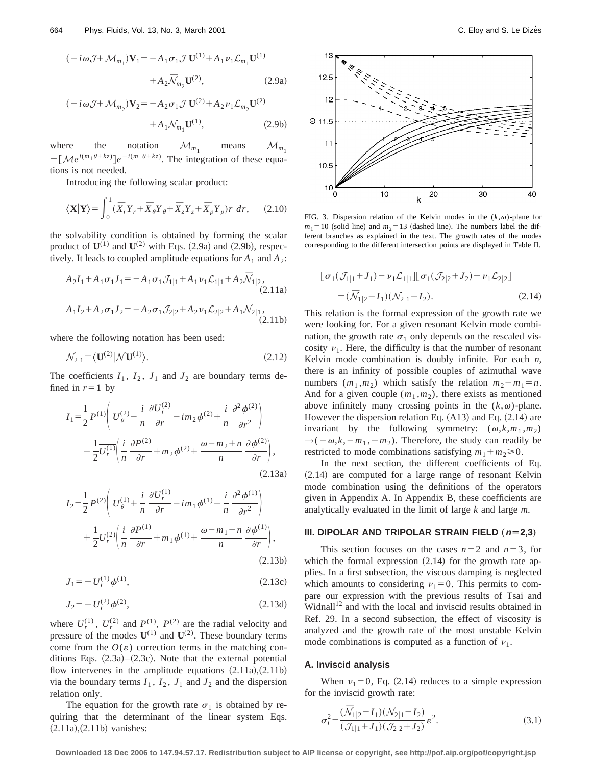$$
(-i\omega J + \mathcal{M}_{m_1})\mathbf{V}_1 = -A_1\sigma_1 J \mathbf{U}^{(1)} + A_1 \nu_1 \mathcal{L}_{m_1} \mathbf{U}^{(1)}
$$

$$
+ A_2 \bar{\mathcal{N}}_{m_2} \mathbf{U}^{(2)}, \tag{2.9a}
$$

$$
(-i\omega \mathcal{J} + \mathcal{M}_{m_2})\mathbf{V}_2 = -A_2 \sigma_1 \mathcal{J} \mathbf{U}^{(2)} + A_2 \nu_1 \mathcal{L}_{m_2} \mathbf{U}^{(2)}
$$

$$
+ A_1 \mathcal{N}_{m_1} \mathbf{U}^{(1)}, \tag{2.9b}
$$

where the notation  $\mathcal{M}_{m_1}$  means  $\mathcal{M}_{m_1}$  $=[\mathcal{M}e^{i(m_1\theta+kz)}]e^{-i(m_1\theta+kz)}$ . The integration of these equations is not needed.

Introducing the following scalar product:

$$
\langle \mathbf{X} | \mathbf{Y} \rangle = \int_0^1 (\bar{X}_r Y_r + \bar{X}_\theta Y_\theta + \bar{X}_z Y_z + \bar{X}_p Y_p) r \, dr, \qquad (2.10)
$$

the solvability condition is obtained by forming the scalar product of  $\mathbf{U}^{(1)}$  and  $\mathbf{U}^{(2)}$  with Eqs. (2.9a) and (2.9b), respectively. It leads to coupled amplitude equations for  $A_1$  and  $A_2$ :

$$
A_2I_1 + A_1\sigma_1J_1 = -A_1\sigma_1J_{1|1} + A_1\nu_1\mathcal{L}_{1|1} + A_2\overline{\mathcal{N}}_{1|2},
$$
\n(2.11a)

$$
A_1I_2 + A_2\sigma_1J_2 = -A_2\sigma_1\mathcal{J}_{2|2} + A_2\nu_1\mathcal{L}_{2|2} + A_1\mathcal{N}_{2|1},
$$
\n(2.11b)

where the following notation has been used:

$$
\mathcal{N}_{2|1} = \langle \mathbf{U}^{(2)} | \mathcal{N} \mathbf{U}^{(1)} \rangle. \tag{2.12}
$$

The coefficients  $I_1$ ,  $I_2$ ,  $J_1$  and  $J_2$  are boundary terms defined in  $r=1$  by

$$
I_{1} = \frac{1}{2} P^{(1)} \left( U_{\theta}^{(2)} - \frac{i}{n} \frac{\partial U_{r}^{(2)}}{\partial r} - im_{2} \phi^{(2)} + \frac{i}{n} \frac{\partial^{2} \phi^{(2)}}{\partial r^{2}} \right) - \frac{1}{2} \frac{U_{r}^{(1)}}{U_{r}^{(1)}} \left( \frac{i}{n} \frac{\partial P^{(2)}}{\partial r} + m_{2} \phi^{(2)} + \frac{\omega - m_{2} + n}{n} \frac{\partial \phi^{(2)}}{\partial r} \right),
$$
\n(2.13a)

$$
I_2 = \frac{1}{2} P^{(2)} \left( U_\theta^{(1)} + \frac{i}{n} \frac{\partial U_r^{(1)}}{\partial r} - im_1 \phi^{(1)} - \frac{i}{n} \frac{\partial^2 \phi^{(1)}}{\partial r^2} \right) + \frac{1}{2} \frac{U_r^{(2)}}{U_r^{(2)}} \left( \frac{i}{n} \frac{\partial P^{(1)}}{\partial r} + m_1 \phi^{(1)} + \frac{\omega - m_1 - n}{n} \frac{\partial \phi^{(1)}}{\partial r} \right),
$$
\n(2.13b)

$$
J_1 = -\overline{U_r^{(1)}} \phi^{(1)},\tag{2.13c}
$$

$$
J_2 = -\overline{U_r^{(2)}}\phi^{(2)},\tag{2.13d}
$$

where  $U_r^{(1)}$ ,  $U_r^{(2)}$  and  $P_{(1)}^{(1)}$ ,  $P_{(2)}^{(2)}$  are the radial velocity and pressure of the modes  $U^{(1)}$  and  $U^{(2)}$ . These boundary terms come from the  $O(\varepsilon)$  correction terms in the matching conditions Eqs.  $(2.3a)$ – $(2.3c)$ . Note that the external potential flow intervenes in the amplitude equations  $(2.11a)$ ,  $(2.11b)$ via the boundary terms  $I_1$ ,  $I_2$ ,  $J_1$  and  $J_2$  and the dispersion relation only.

The equation for the growth rate  $\sigma_1$  is obtained by requiring that the determinant of the linear system Eqs.  $(2.11a)$ , $(2.11b)$  vanishes:



FIG. 3. Dispersion relation of the Kelvin modes in the  $(k, \omega)$ -plane for  $m_1$ =10 (solid line) and  $m_2$ =13 (dashed line). The numbers label the different branches as explained in the text. The growth rates of the modes corresponding to the different intersection points are displayed in Table II.

$$
[\sigma_1(\mathcal{J}_{1|1} + J_1) - \nu_1 \mathcal{L}_{1|1}] [\sigma_1(\mathcal{J}_{2|2} + J_2) - \nu_1 \mathcal{L}_{2|2}]
$$
  
=  $(\bar{N}_{1|2} - I_1)(\mathcal{N}_{2|1} - I_2).$  (2.14)

This relation is the formal expression of the growth rate we were looking for. For a given resonant Kelvin mode combination, the growth rate  $\sigma_1$  only depends on the rescaled viscosity  $v_1$ . Here, the difficulty is that the number of resonant Kelvin mode combination is doubly infinite. For each *n*, there is an infinity of possible couples of azimuthal wave numbers  $(m_1, m_2)$  which satisfy the relation  $m_2 - m_1 = n$ . And for a given couple  $(m_1, m_2)$ , there exists as mentioned above infinitely many crossing points in the  $(k, \omega)$ -plane. However the dispersion relation Eq.  $(A13)$  and Eq.  $(2.14)$  are invariant by the following symmetry:  $(\omega, k, m_1, m_2)$  $\rightarrow (-\omega, k, -m_1, -m_2)$ . Therefore, the study can readily be restricted to mode combinations satisfying  $m_1 + m_2 \ge 0$ .

In the next section, the different coefficients of Eq.  $(2.14)$  are computed for a large range of resonant Kelvin mode combination using the definitions of the operators given in Appendix A. In Appendix B, these coefficients are analytically evaluated in the limit of large *k* and large *m*.

### **III. DIPOLAR AND TRIPOLAR STRAIN FIELD**  $(n=2,3)$

This section focuses on the cases  $n=2$  and  $n=3$ , for which the formal expression  $(2.14)$  for the growth rate applies. In a first subsection, the viscous damping is neglected which amounts to considering  $v_1=0$ . This permits to compare our expression with the previous results of Tsai and Widnall<sup>12</sup> and with the local and inviscid results obtained in Ref. 29. In a second subsection, the effect of viscosity is analyzed and the growth rate of the most unstable Kelvin mode combinations is computed as a function of  $\nu_1$ .

#### **A. Inviscid analysis**

When  $\nu_1=0$ , Eq. (2.14) reduces to a simple expression for the inviscid growth rate:

$$
\sigma_i^2 = \frac{(\overline{\mathcal{N}}_{1|2} - I_1)(\mathcal{N}_{2|1} - I_2)}{(\mathcal{J}_{1|1} + J_1)(\mathcal{J}_{2|2} + J_2)} \varepsilon^2.
$$
\n(3.1)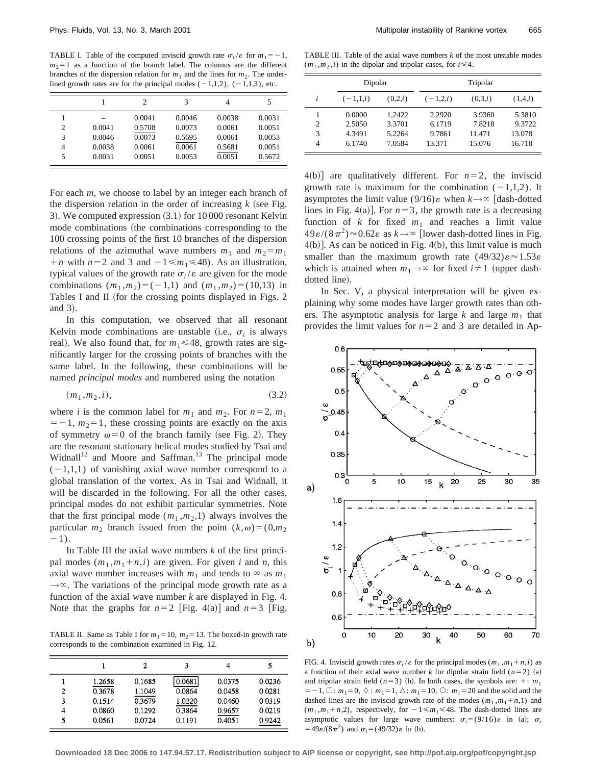TABLE I. Table of the computed inviscid growth rate  $\sigma_i / \varepsilon$  for  $m_1 = -1$ ,  $m_2=1$  as a function of the branch label. The columns are the different branches of the dispersion relation for  $m_1$  and the lines for  $m_2$ . The underlined growth rates are for the principal modes  $(-1,1,2)$ ,  $(-1,1,3)$ , etc.

|   |        | 2      | 3      | 4      | 5      |
|---|--------|--------|--------|--------|--------|
|   |        | 0.0041 | 0.0046 | 0.0038 | 0.0031 |
| 2 | 0.0041 | 0.5708 | 0.0073 | 0.0061 | 0.0051 |
| 3 | 0.0046 | 0.0073 | 0.5695 | 0.0061 | 0.0053 |
| 4 | 0.0038 | 0.0061 | 0.0061 | 0.5681 | 0.0051 |
| 5 | 0.0031 | 0.0051 | 0.0053 | 0.0051 | 0.5672 |

For each *m*, we choose to label by an integer each branch of the dispersion relation in the order of increasing  $k$  (see Fig. 3). We computed expression  $(3.1)$  for 10 000 resonant Kelvin mode combinations (the combinations corresponding to the 100 crossing points of the first 10 branches of the dispersion relations of the azimuthal wave numbers  $m_1$  and  $m_2 = m_1$  $+n$  with  $n=2$  and 3 and  $-1 \le m_1 \le 48$ ). As an illustration, typical values of the growth rate  $\sigma_i/\varepsilon$  are given for the mode combinations  $(m_1, m_2) = (-1,1)$  and  $(m_1, m_2) = (10,13)$  in Tables I and II (for the crossing points displayed in Figs. 2 and 3).

In this computation, we observed that all resonant Kelvin mode combinations are unstable (i.e.,  $\sigma_i$  is always real). We also found that, for  $m_1 \le 48$ , growth rates are significantly larger for the crossing points of branches with the same label. In the following, these combinations will be named *principal modes* and numbered using the notation

$$
(m_1, m_2, i), \tag{3.2}
$$

where *i* is the common label for  $m_1$  and  $m_2$ . For  $n=2$ ,  $m_1$  $=$  -1,  $m_2$ =1, these crossing points are exactly on the axis of symmetry  $\omega=0$  of the branch family (see Fig. 2). They are the resonant stationary helical modes studied by Tsai and Widnall<sup>12</sup> and Moore and Saffman.<sup>13</sup> The principal mode  $(-1,1,1)$  of vanishing axial wave number correspond to a global translation of the vortex. As in Tsai and Widnall, it will be discarded in the following. For all the other cases, principal modes do not exhibit particular symmetries. Note that the first principal mode  $(m_1, m_2, 1)$  always involves the particular  $m_2$  branch issued from the point  $(k,\omega)=(0,m_2)$  $-1$ ).

In Table III the axial wave numbers *k* of the first principal modes  $(m_1, m_1+n, i)$  are given. For given *i* and *n*, this axial wave number increases with  $m_1$  and tends to  $\infty$  as  $m_1$  $\rightarrow \infty$ . The variations of the principal mode growth rate as a function of the axial wave number *k* are displayed in Fig. 4. Note that the graphs for  $n=2$  [Fig. 4(a)] and  $n=3$  [Fig.

TABLE II. Same as Table I for  $m_1 = 10$ ,  $m_2 = 13$ . The boxed-in growth rate corresponds to the combination examined in Fig. 12.

|   |        | 2      | 3      |        |        |
|---|--------|--------|--------|--------|--------|
|   | 1.2658 | 0.1685 | 0.0681 | 0.0375 | 0.0236 |
| 2 | 0.3678 | 1.1049 | 0.0864 | 0.0458 | 0.0281 |
| 3 | 0.1514 | 0.3679 | 1.0220 | 0.0460 | 0.0319 |
| 4 | 0.0860 | 0.1292 | 0.3864 | 0.9657 | 0.0219 |
| 5 | 0.0561 | 0.0724 | 0.1191 | 0.4051 | 0.9242 |

TABLE III. Table of the axial wave numbers *k* of the most unstable modes  $(m_1, m_2, i)$  in the dipolar and tripolar cases, for  $i \leq 4$ .

|                | Dipolar    |         | Tripolar   |         |         |
|----------------|------------|---------|------------|---------|---------|
| i              | $(-1,1,i)$ | (0,2,i) | $(-1,2,i)$ | (0,3,i) | (1,4,i) |
|                | 0.0000     | 1.2422  | 2.2920     | 3.9360  | 5.3810  |
| $\overline{c}$ | 2.5050     | 3.3701  | 6.1719     | 7.8218  | 9.3722  |
| 3              | 4.3491     | 5.2264  | 9.7861     | 11.471  | 13.078  |
| 4              | 6.1740     | 7.0584  | 13.371     | 15.076  | 16.718  |

 $4(b)$ ] are qualitatively different. For  $n=2$ , the inviscid growth rate is maximum for the combination  $(-1,1,2)$ . It asymptotes the limit value (9/16) $\varepsilon$  when  $k \rightarrow \infty$  [dash-dotted lines in Fig. 4(a)]. For  $n=3$ , the growth rate is a decreasing function of  $k$  for fixed  $m_1$  and reaches a limit value  $49\varepsilon/(8\pi^2) \approx 0.62\varepsilon$  as  $k \to \infty$  [lower dash-dotted lines in Fig.  $4(b)$ ]. As can be noticed in Fig.  $4(b)$ , this limit value is much smaller than the maximum growth rate  $(49/32)\epsilon \approx 1.53\epsilon$ which is attained when  $m_1 \rightarrow \infty$  for fixed  $i \neq 1$  (upper dashdotted line).

In Sec. V, a physical interpretation will be given explaining why some modes have larger growth rates than others. The asymptotic analysis for large  $k$  and large  $m_1$  that provides the limit values for  $n=2$  and 3 are detailed in Ap-



FIG. 4. Inviscid growth rates  $\sigma_i/\varepsilon$  for the principal modes  $(m_1, m_1 + n, i)$  as a function of their axial wave number *k* for dipolar strain field  $(n=2)$  (a) and tripolar strain field ( $n=3$ ) (b). In both cases, the symbols are:  $+$ :  $m_1$  $=$  -1,  $\Box$ :  $m_1$  = 0,  $\Diamond$ :  $m_1$  = 1,  $\triangle$ :  $m_1$  = 10,  $\bigcirc$ :  $m_1$  = 20 and the solid and the dashed lines are the inviscid growth rate of the modes  $(m_1, m_1+n,1)$  and  $(m_1, m_1 + n, 2)$ , respectively, for  $-1 \le m_1 \le 48$ . The dash-dotted lines are asymptotic values for large wave numbers:  $\sigma_i = (9/16)\varepsilon$  in (a);  $\sigma_i$  $=49\varepsilon/(8\pi^2)$  and  $\sigma_i=(49/32)\varepsilon$  in (b).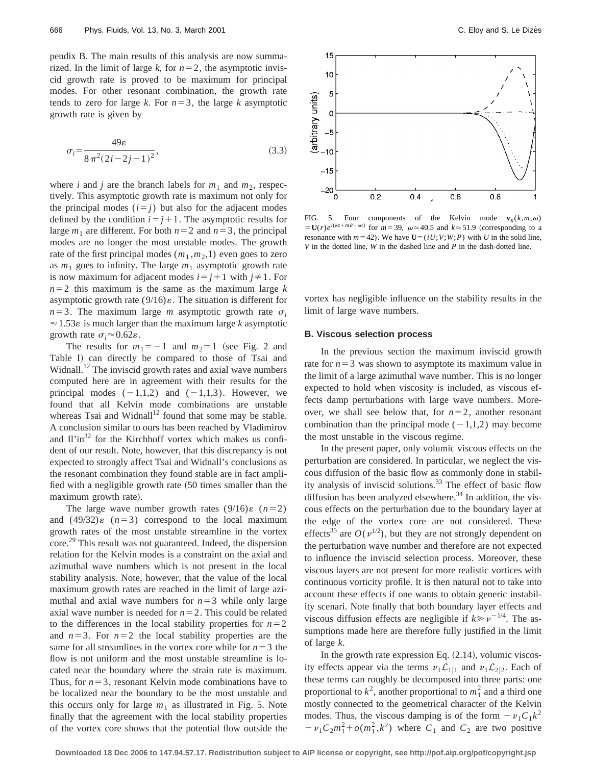pendix B. The main results of this analysis are now summarized. In the limit of large *k*, for  $n=2$ , the asymptotic inviscid growth rate is proved to be maximum for principal modes. For other resonant combination, the growth rate tends to zero for large *k*. For  $n=3$ , the large *k* asymptotic growth rate is given by

$$
\sigma_i = \frac{49\varepsilon}{8\pi^2(2i - 2j - 1)^2},\tag{3.3}
$$

where *i* and *j* are the branch labels for  $m_1$  and  $m_2$ , respectively. This asymptotic growth rate is maximum not only for the principal modes  $(i = j)$  but also for the adjacent modes defined by the condition  $i=j+1$ . The asymptotic results for large  $m_1$  are different. For both  $n=2$  and  $n=3$ , the principal modes are no longer the most unstable modes. The growth rate of the first principal modes  $(m_1, m_2, 1)$  even goes to zero as  $m_1$  goes to infinity. The large  $m_1$  asymptotic growth rate is now maximum for adjacent modes  $i=j+1$  with  $j\neq 1$ . For  $n=2$  this maximum is the same as the maximum large *k* asymptotic growth rate  $(9/16)\varepsilon$ . The situation is different for  $n=3$ . The maximum large *m* asymptotic growth rate  $\sigma_i$  $\approx$  1.53 $\varepsilon$  is much larger than the maximum large *k* asymptotic growth rate  $\sigma_i \approx 0.62\varepsilon$ .

The results for  $m_1 = -1$  and  $m_2 = 1$  (see Fig. 2 and Table I) can directly be compared to those of Tsai and Widnall.<sup>12</sup> The inviscid growth rates and axial wave numbers computed here are in agreement with their results for the principal modes  $(-1,1,2)$  and  $(-1,1,3)$ . However, we found that all Kelvin mode combinations are unstable whereas Tsai and Widnall<sup>12</sup> found that some may be stable. A conclusion similar to ours has been reached by Vladimirov and  $I\lim^{32}$  for the Kirchhoff vortex which makes us confident of our result. Note, however, that this discrepancy is not expected to strongly affect Tsai and Widnall's conclusions as the resonant combination they found stable are in fact amplified with a negligible growth rate  $(50 \times 10^{-14})$  times smaller than the maximum growth rate).

The large wave number growth rates  $(9/16)\varepsilon$   $(n=2)$ and  $(49/32)\varepsilon$   $(n=3)$  correspond to the local maximum growth rates of the most unstable streamline in the vortex core.29 This result was not guaranteed. Indeed, the dispersion relation for the Kelvin modes is a constraint on the axial and azimuthal wave numbers which is not present in the local stability analysis. Note, however, that the value of the local maximum growth rates are reached in the limit of large azimuthal and axial wave numbers for  $n=3$  while only large axial wave number is needed for  $n=2$ . This could be related to the differences in the local stability properties for  $n=2$ and  $n=3$ . For  $n=2$  the local stability properties are the same for all streamlines in the vortex core while for  $n=3$  the flow is not uniform and the most unstable streamline is located near the boundary where the strain rate is maximum. Thus, for  $n=3$ , resonant Kelvin mode combinations have to be localized near the boundary to be the most unstable and this occurs only for large  $m_1$  as illustrated in Fig. 5. Note finally that the agreement with the local stability properties of the vortex core shows that the potential flow outside the



FIG. 5. Four components of the Kelvin mode  $\mathbf{v}_K(k,m,\omega)$  $= U(r)e^{i(kz + m\theta - \omega t)}$  for  $m = 39$ ,  $\omega \approx 40.5$  and  $k \approx 51.9$  (corresponding to a resonance with  $m=42$ ). We have  $U=(iU;V;W;P)$  with *U* in the solid line, *V* in the dotted line, *W* in the dashed line and *P* in the dash-dotted line.

vortex has negligible influence on the stability results in the limit of large wave numbers.

### **B. Viscous selection process**

In the previous section the maximum inviscid growth rate for  $n=3$  was shown to asymptote its maximum value in the limit of a large azimuthal wave number. This is no longer expected to hold when viscosity is included, as viscous effects damp perturbations with large wave numbers. Moreover, we shall see below that, for  $n=2$ , another resonant combination than the principal mode  $(-1,1,2)$  may become the most unstable in the viscous regime.

In the present paper, only volumic viscous effects on the perturbation are considered. In particular, we neglect the viscous diffusion of the basic flow as commonly done in stability analysis of inviscid solutions. $33$  The effect of basic flow diffusion has been analyzed elsewhere.<sup>34</sup> In addition, the viscous effects on the perturbation due to the boundary layer at the edge of the vortex core are not considered. These effects<sup>35</sup> are  $O(v^{1/2})$ , but they are not strongly dependent on the perturbation wave number and therefore are not expected to influence the inviscid selection process. Moreover, these viscous layers are not present for more realistic vortices with continuous vorticity profile. It is then natural not to take into account these effects if one wants to obtain generic instability scenari. Note finally that both boundary layer effects and viscous diffusion effects are negligible if  $k \geq v^{-1/4}$ . The assumptions made here are therefore fully justified in the limit of large *k*.

In the growth rate expression Eq.  $(2.14)$ , volumic viscosity effects appear via the terms  $\nu_1 \mathcal{L}_{1|1}$  and  $\nu_1 \mathcal{L}_{2|2}$ . Each of these terms can roughly be decomposed into three parts: one proportional to  $k^2$ , another proportional to  $m_1^2$  and a third one mostly connected to the geometrical character of the Kelvin modes. Thus, the viscous damping is of the form  $-\nu_1C_1k^2$  $-v_1C_2m_1^2+o(m_1^2, k^2)$  where  $C_1$  and  $C_2$  are two positive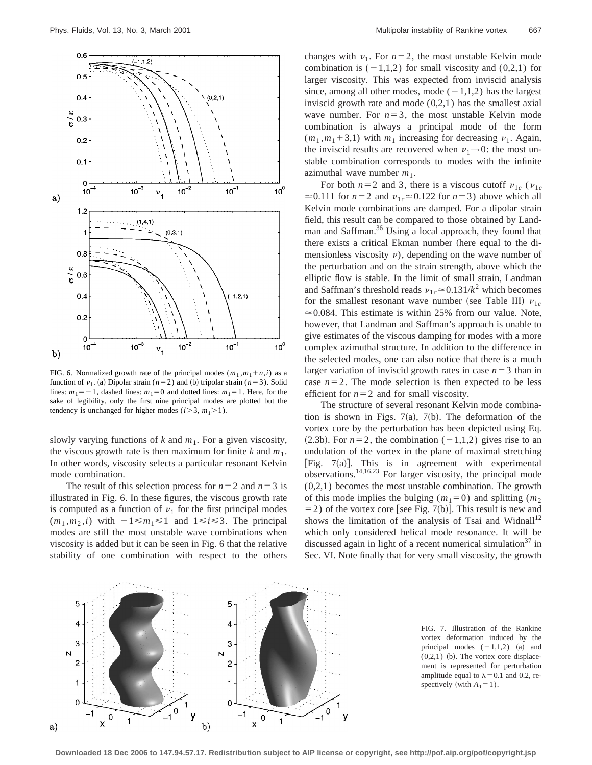

FIG. 6. Normalized growth rate of the principal modes  $(m_1, m_1 + n, i)$  as a function of  $\nu_1$ . (a) Dipolar strain ( $n=2$ ) and (b) tripolar strain ( $n=3$ ). Solid lines:  $m_1 = -1$ , dashed lines:  $m_1 = 0$  and dotted lines:  $m_1 = 1$ . Here, for the sake of legibility, only the first nine principal modes are plotted but the tendency is unchanged for higher modes ( $i > 3$ ,  $m_1 > 1$ ).

slowly varying functions of  $k$  and  $m_1$ . For a given viscosity, the viscous growth rate is then maximum for finite  $k$  and  $m_1$ . In other words, viscosity selects a particular resonant Kelvin mode combination.

The result of this selection process for  $n=2$  and  $n=3$  is illustrated in Fig. 6. In these figures, the viscous growth rate is computed as a function of  $\nu_1$  for the first principal modes  $(m_1, m_2, i)$  with  $-1 \le m_1 \le 1$  and  $1 \le i \le 3$ . The principal modes are still the most unstable wave combinations when viscosity is added but it can be seen in Fig. 6 that the relative stability of one combination with respect to the others changes with  $\nu_1$ . For  $n=2$ , the most unstable Kelvin mode combination is  $(-1,1,2)$  for small viscosity and  $(0,2,1)$  for larger viscosity. This was expected from inviscid analysis since, among all other modes, mode  $(-1,1,2)$  has the largest inviscid growth rate and mode  $(0,2,1)$  has the smallest axial wave number. For  $n=3$ , the most unstable Kelvin mode combination is always a principal mode of the form  $(m_1, m_1 + 3,1)$  with  $m_1$  increasing for decreasing  $\nu_1$ . Again, the inviscid results are recovered when  $\nu_1\rightarrow 0$ : the most unstable combination corresponds to modes with the infinite azimuthal wave number  $m_1$ .

For both  $n=2$  and 3, there is a viscous cutoff  $v_{1c}$  ( $v_{1c}$  $\approx$  0.111 for *n*=2 and  $v_{1c} \approx$  0.122 for *n*=3) above which all Kelvin mode combinations are damped. For a dipolar strain field, this result can be compared to those obtained by Landman and Saffman.<sup>36</sup> Using a local approach, they found that there exists a critical Ekman number (here equal to the dimensionless viscosity  $\nu$ , depending on the wave number of the perturbation and on the strain strength, above which the elliptic flow is stable. In the limit of small strain, Landman and Saffman's threshold reads  $v_{1c} \approx 0.131/k^2$  which becomes for the smallest resonant wave number (see Table III)  $v_{1c}$  $\approx 0.084$ . This estimate is within 25% from our value. Note, however, that Landman and Saffman's approach is unable to give estimates of the viscous damping for modes with a more complex azimuthal structure. In addition to the difference in the selected modes, one can also notice that there is a much larger variation of inviscid growth rates in case  $n=3$  than in case  $n=2$ . The mode selection is then expected to be less efficient for  $n=2$  and for small viscosity.

The structure of several resonant Kelvin mode combination is shown in Figs. 7(a), 7(b). The deformation of the vortex core by the perturbation has been depicted using Eq.  $(2.3b)$ . For  $n=2$ , the combination  $(-1,1,2)$  gives rise to an undulation of the vortex in the plane of maximal stretching [Fig.  $7(a)$ ]. This is in agreement with experimental observations.<sup>14,16,23</sup> For larger viscosity, the principal mode (0,2,1) becomes the most unstable combination. The growth of this mode implies the bulging  $(m_1=0)$  and splitting  $(m_2)$  $=$  2) of the vortex core [see Fig. 7(b)]. This result is new and shows the limitation of the analysis of Tsai and Widnall<sup>12</sup> which only considered helical mode resonance. It will be discussed again in light of a recent numerical simulation<sup>37</sup> in Sec. VI. Note finally that for very small viscosity, the growth



FIG. 7. Illustration of the Rankine vortex deformation induced by the principal modes  $(-1,1,2)$  (a) and  $(0,2,1)$  (b). The vortex core displacement is represented for perturbation amplitude equal to  $\lambda$  = 0.1 and 0.2, respectively (with  $A_1=1$ ).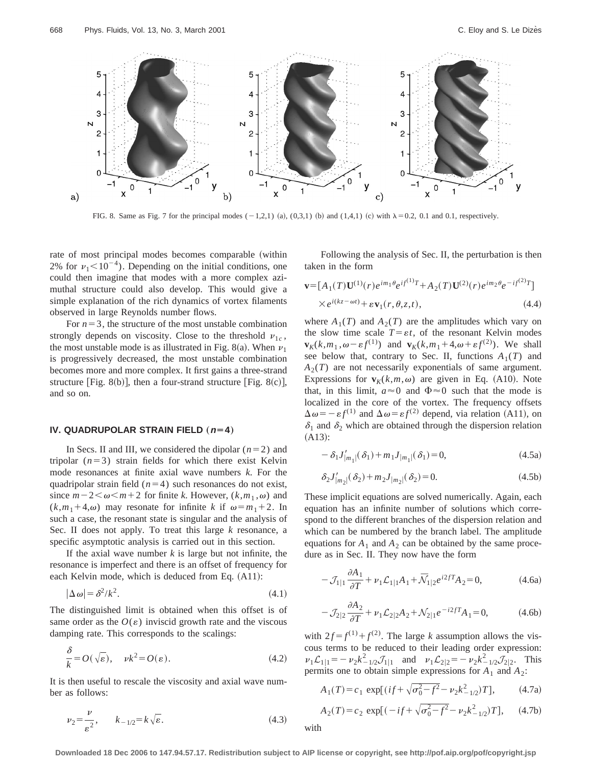

FIG. 8. Same as Fig. 7 for the principal modes  $(-1,2,1)$  (a),  $(0,3,1)$  (b) and  $(1,4,1)$  (c) with  $\lambda = 0.2$ , 0.1 and 0.1, respectively.

rate of most principal modes becomes comparable (within 2% for  $\nu_1$ <10<sup>-4</sup>). Depending on the initial conditions, one could then imagine that modes with a more complex azimuthal structure could also develop. This would give a simple explanation of the rich dynamics of vortex filaments observed in large Reynolds number flows.

For  $n=3$ , the structure of the most unstable combination strongly depends on viscosity. Close to the threshold  $v_{1c}$ , the most unstable mode is as illustrated in Fig. 8(a). When  $\nu_1$ is progressively decreased, the most unstable combination becomes more and more complex. It first gains a three-strand structure [Fig. 8(b)], then a four-strand structure [Fig. 8(c)], and so on.

### **IV. QUADRUPOLAR STRAIN FIELD** ( $n=4$ )

In Secs. II and III, we considered the dipolar  $(n=2)$  and tripolar  $(n=3)$  strain fields for which there exist Kelvin mode resonances at finite axial wave numbers *k*. For the quadripolar strain field  $(n=4)$  such resonances do not exist, since  $m-2<\omega < m+2$  for finite *k*. However,  $(k,m_1,\omega)$  and  $(k,m_1+4,\omega)$  may resonate for infinite *k* if  $\omega=m_1+2$ . In such a case, the resonant state is singular and the analysis of Sec. II does not apply. To treat this large *k* resonance, a specific asymptotic analysis is carried out in this section.

If the axial wave number  $k$  is large but not infinite, the resonance is imperfect and there is an offset of frequency for each Kelvin mode, which is deduced from Eq.  $(A11)$ :

$$
|\Delta \omega| = \delta^2 / k^2. \tag{4.1}
$$

The distinguished limit is obtained when this offset is of same order as the  $O(\varepsilon)$  inviscid growth rate and the viscous damping rate. This corresponds to the scalings:

$$
\frac{\delta}{k} = O(\sqrt{\varepsilon}), \quad \nu k^2 = O(\varepsilon). \tag{4.2}
$$

It is then useful to rescale the viscosity and axial wave number as follows:

$$
\nu_2 = \frac{\nu}{\varepsilon^2}, \qquad k_{-1/2} = k\sqrt{\varepsilon}.\tag{4.3}
$$

Following the analysis of Sec. II, the perturbation is then taken in the form

$$
\mathbf{v} = [A_1(T)\mathbf{U}^{(1)}(r)e^{im_1\theta}e^{if^{(1)}T} + A_2(T)\mathbf{U}^{(2)}(r)e^{im_2\theta}e^{-if^{(2)}T}]
$$
  
× $e^{i(kz - \omega t)} + \varepsilon \mathbf{v}_1(r, \theta, z, t),$  (4.4)

where  $A_1(T)$  and  $A_2(T)$  are the amplitudes which vary on the slow time scale  $T = \varepsilon t$ , of the resonant Kelvin modes  $\mathbf{v}_K(k,m_1,\omega-\varepsilon f^{(1)})$  and  $\mathbf{v}_K(k,m_1+4,\omega+\varepsilon f^{(2)})$ . We shall see below that, contrary to Sec. II, functions  $A_1(T)$  and  $A_2(T)$  are not necessarily exponentials of same argument. Expressions for  $\mathbf{v}_K(k,m,\omega)$  are given in Eq. (A10). Note that, in this limit,  $a \approx 0$  and  $\Phi \approx 0$  such that the mode is localized in the core of the vortex. The frequency offsets  $\Delta \omega = -\epsilon f^{(1)}$  and  $\Delta \omega = \epsilon f^{(2)}$  depend, via relation (A11), on  $\delta_1$  and  $\delta_2$  which are obtained through the dispersion relation  $(A13):$ 

$$
- \delta_1 J'_{|m_1|} (\delta_1) + m_1 J_{|m_1|} (\delta_1) = 0,
$$
\n(4.5a)

$$
\delta_2 J'_{|m_2|}(\delta_2) + m_2 J_{|m_2|}(\delta_2) = 0.
$$
\n(4.5b)

These implicit equations are solved numerically. Again, each equation has an infinite number of solutions which correspond to the different branches of the dispersion relation and which can be numbered by the branch label. The amplitude equations for  $A_1$  and  $A_2$  can be obtained by the same procedure as in Sec. II. They now have the form

$$
-\mathcal{J}_{1|1}\frac{\partial A_1}{\partial T} + \nu_1 \mathcal{L}_{1|1}A_1 + \bar{\mathcal{N}}_{1|2}e^{i2fT}A_2 = 0, \tag{4.6a}
$$

$$
-J_{2|2}\frac{\partial A_2}{\partial T} + \nu_1 \mathcal{L}_{2|2}A_2 + \mathcal{N}_{2|1}e^{-i2fT}A_1 = 0, \tag{4.6b}
$$

with  $2f = f^{(1)} + f^{(2)}$ . The large *k* assumption allows the viscous terms to be reduced to their leading order expression:  $\nu_1 \mathcal{L}_{1|1} = -\nu_2 k_{-1/2}^2 \mathcal{J}_{1|1}$  and  $\nu_1 \mathcal{L}_{2|2} = -\nu_2 k_{-1/2}^2 \mathcal{J}_{2|2}$ . This permits one to obtain simple expressions for  $A_1$  and  $A_2$ :

$$
A_1(T) = c_1 \exp[(if + \sqrt{\sigma_0^2 - f^2} - \nu_2 k_{-1/2}^2)T], \quad (4.7a)
$$

$$
A_2(T) = c_2 \exp[(-if + \sqrt{\sigma_0^2 - f^2} - \nu_2 k_{-1/2}^2)T], \quad (4.7b)
$$

with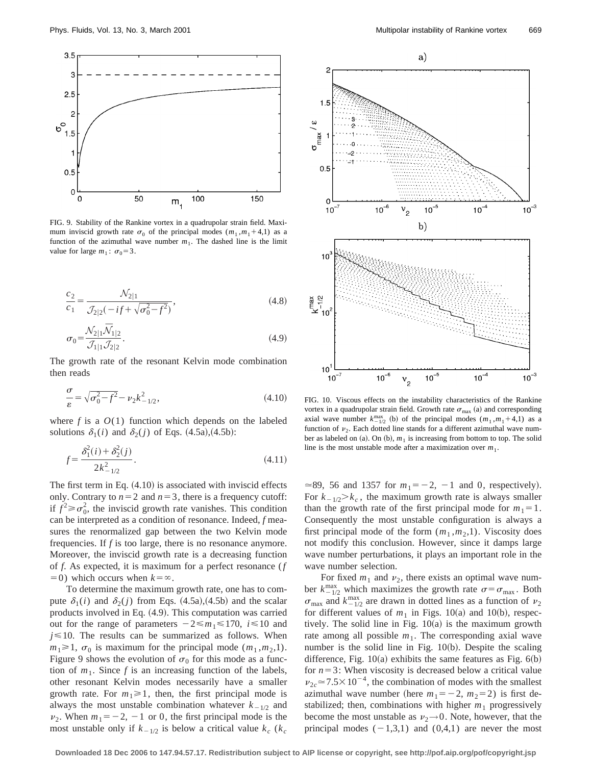

FIG. 9. Stability of the Rankine vortex in a quadrupolar strain field. Maximum inviscid growth rate  $\sigma_0$  of the principal modes  $(m_1, m_1 + 4, 1)$  as a function of the azimuthal wave number  $m_1$ . The dashed line is the limit value for large  $m_1$ :  $\sigma_0 = 3$ .

$$
\frac{c_2}{c_1} = \frac{\mathcal{N}_{2|1}}{\mathcal{J}_{2|2}(-if + \sqrt{\sigma_0^2 - f^2})},\tag{4.8}
$$

$$
\sigma_0 = \frac{\mathcal{N}_{2|1}\bar{\mathcal{N}}_{1|2}}{\mathcal{J}_{1|1}\mathcal{J}_{2|2}}.\tag{4.9}
$$

The growth rate of the resonant Kelvin mode combination then reads

$$
\frac{\sigma}{\varepsilon} = \sqrt{\sigma_0^2 - f^2} - \nu_2 k_{-1/2}^2,\tag{4.10}
$$

where  $f$  is a  $O(1)$  function which depends on the labeled solutions  $\delta_1(i)$  and  $\delta_2(j)$  of Eqs.  $(4.5a)$ ,  $(4.5b)$ :

$$
f = \frac{\delta_1^2(i) + \delta_2^2(j)}{2k_{-1/2}^2}.
$$
\n(4.11)

The first term in Eq.  $(4.10)$  is associated with inviscid effects only. Contrary to  $n=2$  and  $n=3$ , there is a frequency cutoff: if  $f^2 \ge \sigma_0^2$ , the inviscid growth rate vanishes. This condition can be interpreted as a condition of resonance. Indeed, *f* measures the renormalized gap between the two Kelvin mode frequencies. If *f* is too large, there is no resonance anymore. Moreover, the inviscid growth rate is a decreasing function of *f*. As expected, it is maximum for a perfect resonance (*f*  $(50)$  which occurs when  $k=\infty$ .

To determine the maximum growth rate, one has to compute  $\delta_1(i)$  and  $\delta_2(j)$  from Eqs.  $(4.5a)$ ,  $(4.5b)$  and the scalar products involved in Eq.  $(4.9)$ . This computation was carried out for the range of parameters  $-2 \le m_1 \le 170$ ,  $i \le 10$  and  $j \leq 10$ . The results can be summarized as follows. When  $m_1 \geq 1$ ,  $\sigma_0$  is maximum for the principal mode  $(m_1, m_2, 1)$ . Figure 9 shows the evolution of  $\sigma_0$  for this mode as a function of  $m_1$ . Since f is an increasing function of the labels, other resonant Kelvin modes necessarily have a smaller growth rate. For  $m_1 \ge 1$ , then, the first principal mode is always the most unstable combination whatever  $k_{-1/2}$  and  $v_2$ . When  $m_1 = -2$ ,  $-1$  or 0, the first principal mode is the most unstable only if  $k_{-1/2}$  is below a critical value  $k_c$  ( $k_c$ 



FIG. 10. Viscous effects on the instability characteristics of the Rankine vortex in a quadrupolar strain field. Growth rate  $\sigma_{\text{max}}$  (a) and corresponding axial wave number  $k_{-1/2}^{max}$  (b) of the principal modes  $(m_1, m_1 + 4, 1)$  as a function of  $\nu_2$ . Each dotted line stands for a different azimuthal wave number as labeled on  $(a)$ . On  $(b)$ ,  $m_1$  is increasing from bottom to top. The solid line is the most unstable mode after a maximization over  $m_1$ .

 $\approx$ 89, 56 and 1357 for  $m_1 = -2$ ,  $-1$  and 0, respectively). For  $k_{-1/2} > k_c$ , the maximum growth rate is always smaller than the growth rate of the first principal mode for  $m_1=1$ . Consequently the most unstable configuration is always a first principal mode of the form  $(m_1, m_2, 1)$ . Viscosity does not modify this conclusion. However, since it damps large wave number perturbations, it plays an important role in the wave number selection.

For fixed  $m_1$  and  $v_2$ , there exists an optimal wave number  $k_{-1/2}^{\text{max}}$  which maximizes the growth rate  $\sigma = \sigma_{\text{max}}$ . Both  $\sigma_{\text{max}}$  and  $k_{-1/2}^{\text{max}}$  are drawn in dotted lines as a function of  $\nu_2$ for different values of  $m_1$  in Figs. 10(a) and 10(b), respectively. The solid line in Fig.  $10(a)$  is the maximum growth rate among all possible  $m_1$ . The corresponding axial wave number is the solid line in Fig.  $10(b)$ . Despite the scaling difference, Fig.  $10(a)$  exhibits the same features as Fig.  $6(b)$ for  $n=3$ : When viscosity is decreased below a critical value  $v_{2c} \approx 7.5 \times 10^{-4}$ , the combination of modes with the smallest azimuthal wave number (here  $m_1 = -2$ ,  $m_2 = 2$ ) is first destabilized; then, combinations with higher  $m_1$  progressively become the most unstable as  $v_2\rightarrow 0$ . Note, however, that the principal modes  $(-1,3,1)$  and  $(0,4,1)$  are never the most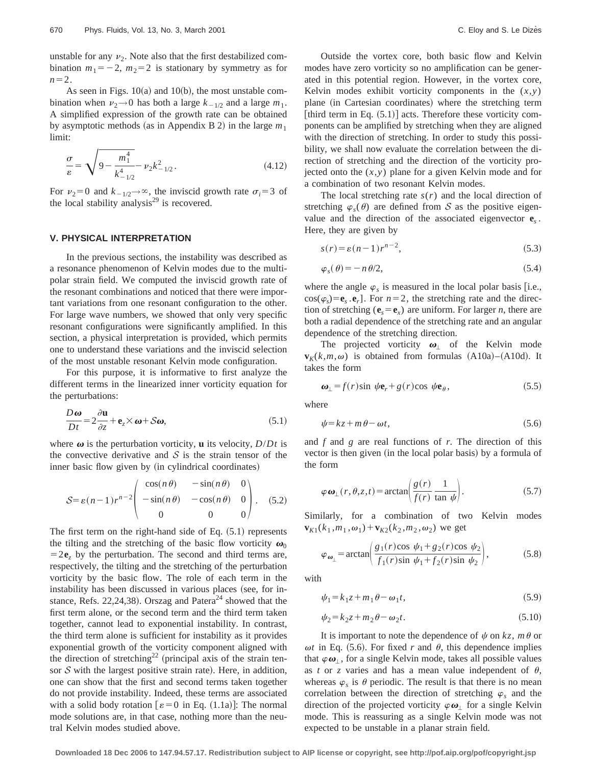unstable for any  $\nu_2$ . Note also that the first destabilized combination  $m_1 = -2$ ,  $m_2 = 2$  is stationary by symmetry as for  $n=2$ .

As seen in Figs.  $10(a)$  and  $10(b)$ , the most unstable combination when  $\nu_2 \rightarrow 0$  has both a large  $k_{-1/2}$  and a large  $m_1$ . A simplified expression of the growth rate can be obtained by asymptotic methods (as in Appendix B 2) in the large  $m_1$ limit:

$$
\frac{\sigma}{\varepsilon} = \sqrt{9 - \frac{m_1^4}{k_{-1/2}^4}} - \nu_2 k_{-1/2}^2.
$$
\n(4.12)

For  $v_2=0$  and  $k_{-1/2} \rightarrow \infty$ , the inviscid growth rate  $\sigma_i=3$  of the local stability analysis $^{29}$  is recovered.

### **V. PHYSICAL INTERPRETATION**

In the previous sections, the instability was described as a resonance phenomenon of Kelvin modes due to the multipolar strain field. We computed the inviscid growth rate of the resonant combinations and noticed that there were important variations from one resonant configuration to the other. For large wave numbers, we showed that only very specific resonant configurations were significantly amplified. In this section, a physical interpretation is provided, which permits one to understand these variations and the inviscid selection of the most unstable resonant Kelvin mode configuration.

For this purpose, it is informative to first analyze the different terms in the linearized inner vorticity equation for the perturbations:

$$
\frac{D\omega}{Dt} = 2\frac{\partial \mathbf{u}}{\partial z} + \mathbf{e}_z \times \boldsymbol{\omega} + \mathcal{S}\boldsymbol{\omega},\tag{5.1}
$$

where  $\omega$  is the perturbation vorticity, **u** its velocity,  $D/Dt$  is the convective derivative and  $S$  is the strain tensor of the inner basic flow given by (in cylindrical coordinates)

$$
S = \varepsilon (n-1)r^{n-2} \begin{pmatrix} \cos(n\theta) & -\sin(n\theta) & 0 \\ -\sin(n\theta) & -\cos(n\theta) & 0 \\ 0 & 0 & 0 \end{pmatrix}.
$$
 (5.2)

The first term on the right-hand side of Eq.  $(5.1)$  represents the tilting and the stretching of the basic flow vorticity  $\omega_0$  $=2e^2$  by the perturbation. The second and third terms are, respectively, the tilting and the stretching of the perturbation vorticity by the basic flow. The role of each term in the instability has been discussed in various places (see, for instance, Refs. 22,24,38). Orszag and Patera<sup>24</sup> showed that the first term alone, or the second term and the third term taken together, cannot lead to exponential instability. In contrast, the third term alone is sufficient for instability as it provides exponential growth of the vorticity component aligned with the direction of stretching<sup>22</sup> (principal axis of the strain tensor  $S$  with the largest positive strain rate). Here, in addition, one can show that the first and second terms taken together do not provide instability. Indeed, these terms are associated with a solid body rotation  $\lbrack \varepsilon =0 \rbrack$  in Eq. (1.1a)]: The normal mode solutions are, in that case, nothing more than the neutral Kelvin modes studied above.

Outside the vortex core, both basic flow and Kelvin modes have zero vorticity so no amplification can be generated in this potential region. However, in the vortex core, Kelvin modes exhibit vorticity components in the  $(x, y)$ plane (in Cartesian coordinates) where the stretching term [third term in Eq.  $(5.1)$ ] acts. Therefore these vorticity components can be amplified by stretching when they are aligned with the direction of stretching. In order to study this possibility, we shall now evaluate the correlation between the direction of stretching and the direction of the vorticity projected onto the (*x*,*y*) plane for a given Kelvin mode and for a combination of two resonant Kelvin modes.

The local stretching rate  $s(r)$  and the local direction of stretching  $\varphi_s(\theta)$  are defined from S as the positive eigenvalue and the direction of the associated eigenvector **e***<sup>s</sup>* . Here, they are given by

$$
s(r) = \varepsilon (n-1)r^{n-2},\tag{5.3}
$$

$$
\varphi_s(\theta) = -n \theta/2, \tag{5.4}
$$

where the angle  $\varphi_s$  is measured in the local polar basis [i.e.,  $\cos(\varphi_s) = \mathbf{e}_s \cdot \mathbf{e}_r$ . For  $n = 2$ , the stretching rate and the direction of stretching ( ${\bf e}_s = {\bf e}_r$ ) are uniform. For larger *n*, there are both a radial dependence of the stretching rate and an angular dependence of the stretching direction.

The projected vorticity  $\boldsymbol{\omega}_1$  of the Kelvin mode  **is obtained from formulas**  $(A10a)–(A10d)$ **. It** takes the form

$$
\boldsymbol{\omega}_{\perp} = f(r) \sin \psi \mathbf{e}_r + g(r) \cos \psi \mathbf{e}_{\theta}, \qquad (5.5)
$$

where

$$
\psi = kz + m\,\theta - \omega t,\tag{5.6}
$$

and *f* and *g* are real functions of *r*. The direction of this vector is then given (in the local polar basis) by a formula of the form

$$
\varphi \mathbf{\omega}_{\perp}(r,\theta,z,t) = \arctan\left(\frac{g(r)}{f(r)}\frac{1}{\tan\psi}\right). \tag{5.7}
$$

Similarly, for a combination of two Kelvin modes  ${\bf v}_{K1}(k_1, m_1, \omega_1) + {\bf v}_{K2}(k_2, m_2, \omega_2)$  we get

$$
\varphi_{\omega_{\perp}} = \arctan\left(\frac{g_1(r)\cos \psi_1 + g_2(r)\cos \psi_2}{f_1(r)\sin \psi_1 + f_2(r)\sin \psi_2}\right),\tag{5.8}
$$

with

$$
\psi_1 = k_1 z + m_1 \theta - \omega_1 t,\tag{5.9}
$$

$$
\psi_2 = k_2 z + m_2 \theta - \omega_2 t. \tag{5.10}
$$

It is important to note the dependence of  $\psi$  on  $kz$ ,  $m\theta$  or  $\omega t$  in Eq. (5.6). For fixed *r* and  $\theta$ , this dependence implies that  $\varphi\omega_1$ , for a single Kelvin mode, takes all possible values as *t* or *z* varies and has a mean value independent of  $\theta$ , whereas  $\varphi_s$  is  $\theta$  periodic. The result is that there is no mean correlation between the direction of stretching  $\varphi_s$  and the direction of the projected vorticity  $\varphi \omega_1$  for a single Kelvin mode. This is reassuring as a single Kelvin mode was not expected to be unstable in a planar strain field.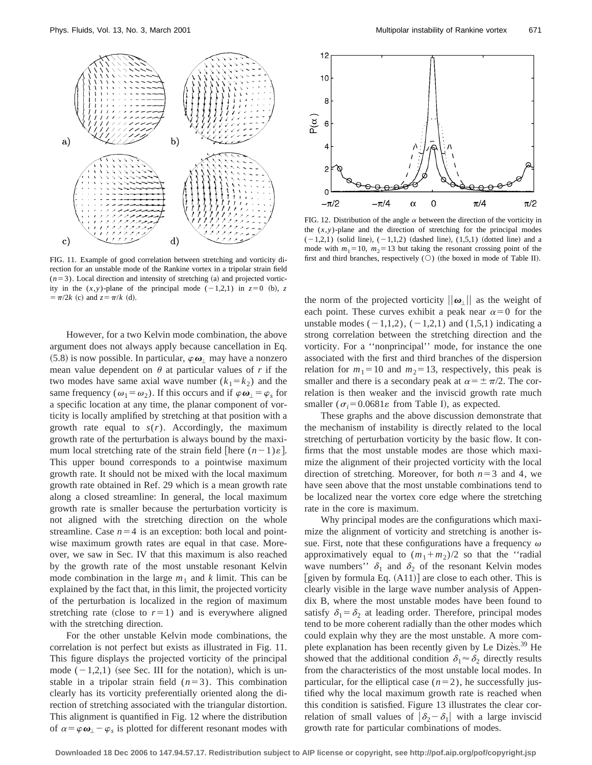

FIG. 11. Example of good correlation between stretching and vorticity direction for an unstable mode of the Rankine vortex in a tripolar strain field  $(n=3)$ . Local direction and intensity of stretching  $(a)$  and projected vorticity in the  $(x, y)$ -plane of the principal mode  $(-1,2,1)$  in  $z=0$  (b), *z*  $= \pi/2k$  (c) and  $z = \pi/k$  (d).

However, for a two Kelvin mode combination, the above argument does not always apply because cancellation in Eq.  $(5.8)$  is now possible. In particular,  $\varphi\omega_1$  may have a nonzero mean value dependent on  $\theta$  at particular values of  $r$  if the two modes have same axial wave number  $(k_1 = k_2)$  and the same frequency ( $\omega_1 = \omega_2$ ). If this occurs and if  $\varphi \omega_1 = \varphi_s$  for a specific location at any time, the planar component of vorticity is locally amplified by stretching at that position with a growth rate equal to  $s(r)$ . Accordingly, the maximum growth rate of the perturbation is always bound by the maximum local stretching rate of the strain field [here  $(n-1)\varepsilon$ ]. This upper bound corresponds to a pointwise maximum growth rate. It should not be mixed with the local maximum growth rate obtained in Ref. 29 which is a mean growth rate along a closed streamline: In general, the local maximum growth rate is smaller because the perturbation vorticity is not aligned with the stretching direction on the whole streamline. Case  $n=4$  is an exception: both local and pointwise maximum growth rates are equal in that case. Moreover, we saw in Sec. IV that this maximum is also reached by the growth rate of the most unstable resonant Kelvin mode combination in the large  $m_1$  and  $k$  limit. This can be explained by the fact that, in this limit, the projected vorticity of the perturbation is localized in the region of maximum stretching rate (close to  $r=1$ ) and is everywhere aligned with the stretching direction.

For the other unstable Kelvin mode combinations, the correlation is not perfect but exists as illustrated in Fig. 11. This figure displays the projected vorticity of the principal mode  $(-1,2,1)$  (see Sec. III for the notation), which is unstable in a tripolar strain field  $(n=3)$ . This combination clearly has its vorticity preferentially oriented along the direction of stretching associated with the triangular distortion. This alignment is quantified in Fig. 12 where the distribution of  $\alpha = \varphi \omega_1 - \varphi_s$  is plotted for different resonant modes with



FIG. 12. Distribution of the angle  $\alpha$  between the direction of the vorticity in the  $(x, y)$ -plane and the direction of stretching for the principal modes  $(-1,2,1)$  (solid line),  $(-1,1,2)$  (dashed line),  $(1,5,1)$  (dotted line) and a mode with  $m_1 = 10$ ,  $m_2 = 13$  but taking the resonant crossing point of the first and third branches, respectively  $(O)$  (the boxed in mode of Table II).

the norm of the projected vorticity  $||\boldsymbol{\omega}_\parallel||$  as the weight of each point. These curves exhibit a peak near  $\alpha=0$  for the unstable modes  $(-1,1,2)$ ,  $(-1,2,1)$  and  $(1,5,1)$  indicating a strong correlation between the stretching direction and the vorticity. For a ''nonprincipal'' mode, for instance the one associated with the first and third branches of the dispersion relation for  $m_1 = 10$  and  $m_2 = 13$ , respectively, this peak is smaller and there is a secondary peak at  $\alpha = \pm \pi/2$ . The correlation is then weaker and the inviscid growth rate much smaller ( $\sigma_i$ =0.0681 $\varepsilon$  from Table I), as expected.

These graphs and the above discussion demonstrate that the mechanism of instability is directly related to the local stretching of perturbation vorticity by the basic flow. It confirms that the most unstable modes are those which maximize the alignment of their projected vorticity with the local direction of stretching. Moreover, for both  $n=3$  and 4, we have seen above that the most unstable combinations tend to be localized near the vortex core edge where the stretching rate in the core is maximum.

Why principal modes are the configurations which maximize the alignment of vorticity and stretching is another issue. First, note that these configurations have a frequency  $\omega$ approximatively equal to  $(m_1+m_2)/2$  so that the "radial" wave numbers''  $\delta_1$  and  $\delta_2$  of the resonant Kelvin modes [given by formula Eq.  $(A11)$ ] are close to each other. This is clearly visible in the large wave number analysis of Appendix B, where the most unstable modes have been found to satisfy  $\delta_1 = \delta_2$  at leading order. Therefore, principal modes tend to be more coherent radially than the other modes which could explain why they are the most unstable. A more complete explanation has been recently given by Le Dizès. $39$  He showed that the additional condition  $\delta_1 \approx \delta_2$  directly results from the characteristics of the most unstable local modes. In particular, for the elliptical case  $(n=2)$ , he successfully justified why the local maximum growth rate is reached when this condition is satisfied. Figure 13 illustrates the clear correlation of small values of  $|\delta_2 - \delta_1|$  with a large inviscid growth rate for particular combinations of modes.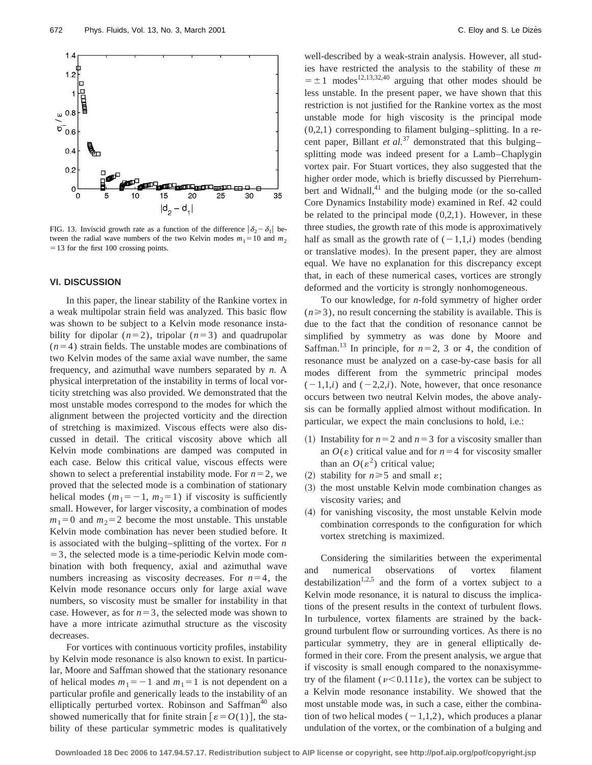

FIG. 13. Inviscid growth rate as a function of the difference  $|\delta_2 - \delta_1|$  between the radial wave numbers of the two Kelvin modes  $m_1 = 10$  and  $m_2$  $=$  13 for the first 100 crossing points.

### **VI. DISCUSSION**

In this paper, the linear stability of the Rankine vortex in a weak multipolar strain field was analyzed. This basic flow was shown to be subject to a Kelvin mode resonance instability for dipolar  $(n=2)$ , tripolar  $(n=3)$  and quadrupolar  $(n=4)$  strain fields. The unstable modes are combinations of two Kelvin modes of the same axial wave number, the same frequency, and azimuthal wave numbers separated by *n*. A physical interpretation of the instability in terms of local vorticity stretching was also provided. We demonstrated that the most unstable modes correspond to the modes for which the alignment between the projected vorticity and the direction of stretching is maximized. Viscous effects were also discussed in detail. The critical viscosity above which all Kelvin mode combinations are damped was computed in each case. Below this critical value, viscous effects were shown to select a preferential instability mode. For  $n=2$ , we proved that the selected mode is a combination of stationary helical modes  $(m_1 = -1, m_2 = 1)$  if viscosity is sufficiently small. However, for larger viscosity, a combination of modes  $m_1=0$  and  $m_2=2$  become the most unstable. This unstable Kelvin mode combination has never been studied before. It is associated with the bulging–splitting of the vortex. For *n*  $=$  3, the selected mode is a time-periodic Kelvin mode combination with both frequency, axial and azimuthal wave numbers increasing as viscosity decreases. For  $n=4$ , the Kelvin mode resonance occurs only for large axial wave numbers, so viscosity must be smaller for instability in that case. However, as for  $n=3$ , the selected mode was shown to have a more intricate azimuthal structure as the viscosity decreases.

For vortices with continuous vorticity profiles, instability by Kelvin mode resonance is also known to exist. In particular, Moore and Saffman showed that the stationary resonance of helical modes  $m_1 = -1$  and  $m_1 = 1$  is not dependent on a particular profile and generically leads to the instability of an elliptically perturbed vortex. Robinson and Saffman<sup>40</sup> also showed numerically that for finite strain  $\lbrack \varepsilon = O(1) \rbrack$ , the stability of these particular symmetric modes is qualitatively well-described by a weak-strain analysis. However, all studies have restricted the analysis to the stability of these *m*  $= \pm 1$  modes<sup>12,13,32,40</sup> arguing that other modes should be less unstable. In the present paper, we have shown that this restriction is not justified for the Rankine vortex as the most unstable mode for high viscosity is the principal mode (0,2,1) corresponding to filament bulging–splitting. In a recent paper, Billant *et al.*<sup>37</sup> demonstrated that this bulging– splitting mode was indeed present for a Lamb–Chaplygin vortex pair. For Stuart vortices, they also suggested that the higher order mode, which is briefly discussed by Pierrehumbert and Widnall, $41$  and the bulging mode (or the so-called Core Dynamics Instability mode) examined in Ref. 42 could be related to the principal mode  $(0,2,1)$ . However, in these three studies, the growth rate of this mode is approximatively half as small as the growth rate of  $(-1,1,i)$  modes (bending or translative modes). In the present paper, they are almost equal. We have no explanation for this discrepancy except that, in each of these numerical cases, vortices are strongly deformed and the vorticity is strongly nonhomogeneous.

To our knowledge, for *n*-fold symmetry of higher order  $(n \geq 3)$ , no result concerning the stability is available. This is due to the fact that the condition of resonance cannot be simplified by symmetry as was done by Moore and Saffman.<sup>13</sup> In principle, for  $n=2$ , 3 or 4, the condition of resonance must be analyzed on a case-by-case basis for all modes different from the symmetric principal modes  $(-1,1,i)$  and  $(-2,2,i)$ . Note, however, that once resonance occurs between two neutral Kelvin modes, the above analysis can be formally applied almost without modification. In particular, we expect the main conclusions to hold, i.e.:

- (1) Instability for  $n=2$  and  $n=3$  for a viscosity smaller than an  $O(\varepsilon)$  critical value and for  $n=4$  for viscosity smaller than an  $O(\varepsilon^2)$  critical value;
- (2) stability for  $n \ge 5$  and small  $\varepsilon$ ;
- ~3! the most unstable Kelvin mode combination changes as viscosity varies; and
- ~4! for vanishing viscosity, the most unstable Kelvin mode combination corresponds to the configuration for which vortex stretching is maximized.

Considering the similarities between the experimental and numerical observations of vortex filament destabilization<sup>1,2,5</sup> and the form of a vortex subject to a Kelvin mode resonance, it is natural to discuss the implications of the present results in the context of turbulent flows. In turbulence, vortex filaments are strained by the background turbulent flow or surrounding vortices. As there is no particular symmetry, they are in general elliptically deformed in their core. From the present analysis, we argue that if viscosity is small enough compared to the nonaxisymmetry of the filament ( $\nu$ <0.111 $\varepsilon$ ), the vortex can be subject to a Kelvin mode resonance instability. We showed that the most unstable mode was, in such a case, either the combination of two helical modes  $(-1,1,2)$ , which produces a planar undulation of the vortex, or the combination of a bulging and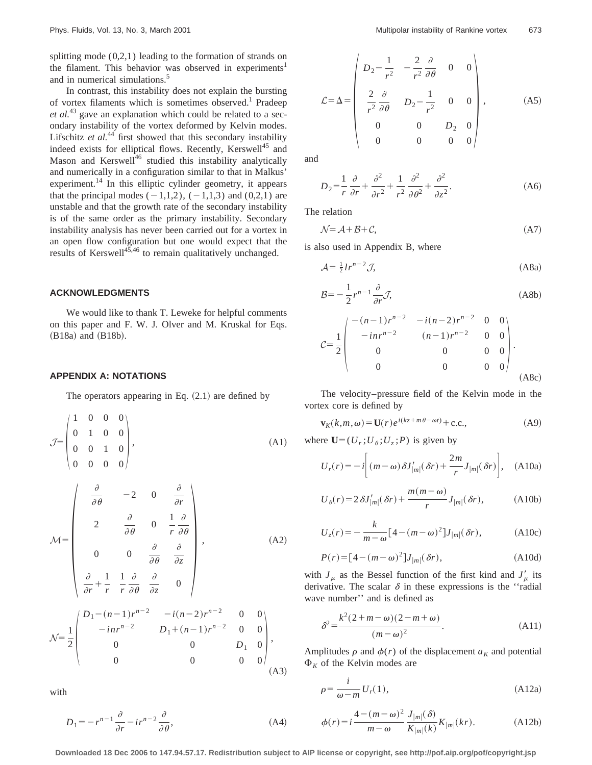splitting mode  $(0,2,1)$  leading to the formation of strands on the filament. This behavior was observed in experiments<sup>1</sup> and in numerical simulations.<sup>5</sup>

In contrast, this instability does not explain the bursting of vortex filaments which is sometimes observed.<sup>1</sup> Pradeep *et al.*<sup>43</sup> gave an explanation which could be related to a secondary instability of the vortex deformed by Kelvin modes. Lifschitz *et al.*<sup>44</sup> first showed that this secondary instability indeed exists for elliptical flows. Recently, Kerswell<sup>45</sup> and Mason and Kerswell<sup>46</sup> studied this instability analytically and numerically in a configuration similar to that in Malkus' experiment.<sup>14</sup> In this elliptic cylinder geometry, it appears that the principal modes  $(-1,1,2)$ ,  $(-1,1,3)$  and  $(0,2,1)$  are unstable and that the growth rate of the secondary instability is of the same order as the primary instability. Secondary instability analysis has never been carried out for a vortex in an open flow configuration but one would expect that the results of Kerswell $45,46$  to remain qualitatively unchanged.

#### **ACKNOWLEDGMENTS**

We would like to thank T. Leweke for helpful comments on this paper and F. W. J. Olver and M. Kruskal for Eqs.  $(B18a)$  and  $(B18b)$ .

#### **APPENDIX A: NOTATIONS**

The operators appearing in Eq.  $(2.1)$  are defined by

$$
\mathcal{J} = \begin{pmatrix} 1 & 0 & 0 & 0 \\ 0 & 1 & 0 & 0 \\ 0 & 0 & 1 & 0 \\ 0 & 0 & 0 & 0 \end{pmatrix}, \tag{A1}
$$

$$
\mathcal{M} = \begin{pmatrix}\n\frac{\partial}{\partial \theta} & -2 & 0 & \frac{\partial}{\partial r} \\
2 & \frac{\partial}{\partial \theta} & 0 & \frac{1}{r} \frac{\partial}{\partial \theta} \\
0 & 0 & \frac{\partial}{\partial \theta} & \frac{\partial}{\partial z} \\
\frac{\partial}{\partial r} + \frac{1}{r} & \frac{1}{r} \frac{\partial}{\partial \theta} & \frac{\partial}{\partial z} & 0\n\end{pmatrix}, \quad (A2)
$$
\n
$$
\mathcal{N} = \frac{1}{2} \begin{pmatrix}\nD_1 - (n-1)r^{n-2} & -i(n-2)r^{n-2} & 0 & 0 \\
-inr^{n-2} & D_1 + (n-1)r^{n-2} & 0 & 0 \\
0 & 0 & D_1 & 0 \\
0 & 0 & 0 & 0\n\end{pmatrix}, \quad (A3)
$$

with

$$
D_1 = -r^{n-1} \frac{\partial}{\partial r} - ir^{n-2} \frac{\partial}{\partial \theta},\tag{A4}
$$

$$
\mathcal{L} = \Delta = \begin{pmatrix} D_2 - \frac{1}{r^2} & -\frac{2}{r^2} \frac{\partial}{\partial \theta} & 0 & 0 \\ \frac{2}{r^2} \frac{\partial}{\partial \theta} & D_2 - \frac{1}{r^2} & 0 & 0 \\ 0 & 0 & D_2 & 0 \\ 0 & 0 & 0 & 0 \end{pmatrix},
$$
 (A5)

and

$$
D_2 = \frac{1}{r} \frac{\partial}{\partial r} + \frac{\partial^2}{\partial r^2} + \frac{1}{r^2} \frac{\partial^2}{\partial \theta^2} + \frac{\partial^2}{\partial z^2}.
$$
 (A6)

The relation

$$
\mathcal{N} = \mathcal{A} + \mathcal{B} + \mathcal{C},\tag{A7}
$$

is also used in Appendix B, where

$$
\mathcal{A} = \frac{1}{2}Ir^{n-2}\mathcal{J},\tag{A8a}
$$

$$
\mathcal{B} = -\frac{1}{2}r^{n-1}\frac{\partial}{\partial r}\mathcal{J},\tag{A8b}
$$

$$
C = \frac{1}{2} \begin{pmatrix} -(n-1)r^{n-2} & -i(n-2)r^{n-2} & 0 & 0 \\ -inr^{n-2} & (n-1)r^{n-2} & 0 & 0 \\ 0 & 0 & 0 & 0 \\ 0 & 0 & 0 & 0 \end{pmatrix}.
$$
 (A8c)

The velocity–pressure field of the Kelvin mode in the vortex core is defined by

$$
\mathbf{v}_K(k,m,\omega) = \mathbf{U}(r)e^{i(kz+m\theta-\omega t)} + \text{c.c.},\tag{A9}
$$

where  $\mathbf{U}=(U_r;U_\theta;U_z;P)$  is given by

$$
U_r(r) = -i \left[ (m - \omega) \delta J'_{|m|}(\delta r) + \frac{2m}{r} J_{|m|}(\delta r) \right], \quad \text{(A10a)}
$$

$$
U_{\theta}(r) = 2 \delta J'_{|m|}(\delta r) + \frac{m(m-\omega)}{r} J_{|m|}(\delta r), \qquad (A10b)
$$

$$
U_z(r) = -\frac{k}{m-\omega} \left[4 - (m-\omega)^2\right] J_{|m|}(\delta r),\tag{A10c}
$$

$$
P(r) = [4 - (m - \omega)^2]J_{|m|}(\delta r), \tag{A10d}
$$

with  $J_\mu$  as the Bessel function of the first kind and  $J'_\mu$  its derivative. The scalar  $\delta$  in these expressions is the "radial" wave number'' and is defined as

$$
\delta^2 = \frac{k^2(2+m-\omega)(2-m+\omega)}{(m-\omega)^2}.
$$
 (A11)

Amplitudes  $\rho$  and  $\phi(r)$  of the displacement  $a_K$  and potential  $\Phi_K$  of the Kelvin modes are

$$
\rho = \frac{i}{\omega - m} U_r(1),\tag{A12a}
$$

$$
\phi(r) = i \frac{4 - (m - \omega)^2}{m - \omega} \frac{J_{|m|}(\delta)}{K_{|m|}(k)} K_{|m|}(kr).
$$
 (A12b)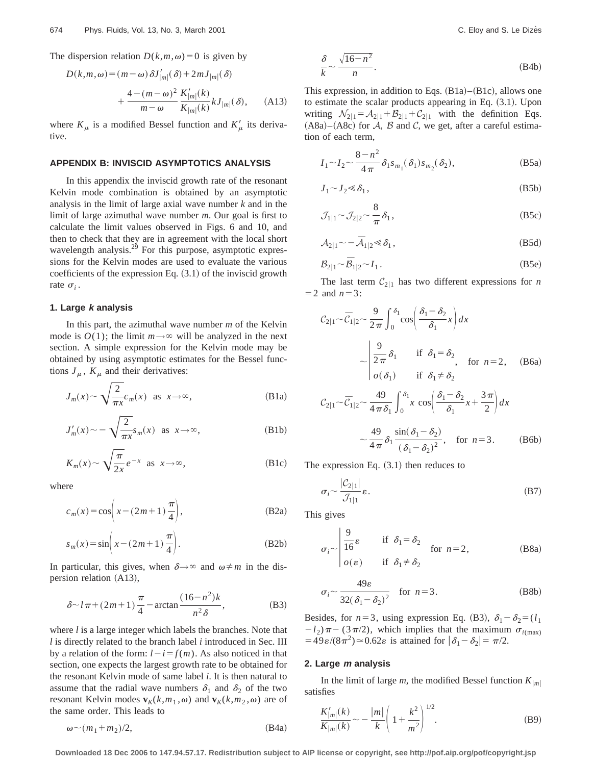$$
D(k,m,\omega) = (m-\omega)\delta J'_{|m|}(\delta) + 2mJ_{|m|}(\delta)
$$
  
+ 
$$
\frac{4-(m-\omega)^2}{m-\omega}\frac{K'_{|m|}(k)}{K_{|m|}(k)}kJ_{|m|}(\delta), \qquad (A13)
$$

where  $K_{\mu}$  is a modified Bessel function and  $K'_{\mu}$  its derivative.

#### **APPENDIX B: INVISCID ASYMPTOTICS ANALYSIS**

In this appendix the inviscid growth rate of the resonant Kelvin mode combination is obtained by an asymptotic analysis in the limit of large axial wave number *k* and in the limit of large azimuthal wave number *m*. Our goal is first to calculate the limit values observed in Figs. 6 and 10, and then to check that they are in agreement with the local short wavelength analysis.<sup>29</sup> For this purpose, asymptotic expressions for the Kelvin modes are used to evaluate the various coefficients of the expression Eq.  $(3.1)$  of the inviscid growth rate  $\sigma_i$ .

### **1. Large k analysis**

In this part, the azimuthal wave number *m* of the Kelvin mode is  $O(1)$ ; the limit  $m \rightarrow \infty$  will be analyzed in the next section. A simple expression for the Kelvin mode may be obtained by using asymptotic estimates for the Bessel functions  $J_{\mu}$ ,  $K_{\mu}$  and their derivatives:

$$
J_m(x) \sim \sqrt{\frac{2}{\pi x}} c_m(x)
$$
 as  $x \to \infty$ , (B1a)

$$
J'_m(x) \sim -\sqrt{\frac{2}{\pi x}} s_m(x) \text{ as } x \to \infty,
$$
 (B1b)

$$
K_m(x) \sim \sqrt{\frac{\pi}{2x}} e^{-x} \text{ as } x \to \infty,
$$
 (B1c)

where

$$
c_m(x) = \cos\left(x - (2m+1)\frac{\pi}{4}\right),\tag{B2a}
$$

$$
s_m(x) = \sin\left(x - (2m+1)\frac{\pi}{4}\right).
$$
 (B2b)

In particular, this gives, when  $\delta \rightarrow \infty$  and  $\omega \neq m$  in the dispersion relation  $(A13)$ ,

$$
\delta \sim l\pi + (2m+1)\frac{\pi}{4} - \arctan\frac{(16-n^2)k}{n^2\delta},
$$
 (B3)

where *l* is a large integer which labels the branches. Note that *l* is directly related to the branch label *i* introduced in Sec. III by a relation of the form:  $l-i=f(m)$ . As also noticed in that section, one expects the largest growth rate to be obtained for the resonant Kelvin mode of same label *i*. It is then natural to assume that the radial wave numbers  $\delta_1$  and  $\delta_2$  of the two resonant Kelvin modes  $\mathbf{v}_K(k,m_1,\omega)$  and  $\mathbf{v}_K(k,m_2,\omega)$  are of the same order. This leads to

$$
\omega \sim (m_1 + m_2)/2, \tag{B4a}
$$

$$
\frac{\delta}{k} \sim \frac{\sqrt{16 - n^2}}{n}.
$$
 (B4b)

This expression, in addition to Eqs.  $(B1a)–(B1c)$ , allows one to estimate the scalar products appearing in Eq.  $(3.1)$ . Upon writing  $\mathcal{N}_{2|1} = \mathcal{A}_{2|1} + \mathcal{B}_{2|1} + \mathcal{C}_{2|1}$  with the definition Eqs.  $(A8a)$ – $(A8c)$  for  $\mathcal{A}, \mathcal{B}$  and  $\mathcal{C},$  we get, after a careful estimation of each term,

$$
I_1 \sim I_2 \sim \frac{8 - n^2}{4 \pi} \delta_1 s_{m_1}(\delta_1) s_{m_2}(\delta_2),
$$
 (B5a)

$$
J_1 \sim J_2 \ll \delta_1,\tag{B5b}
$$

$$
\mathcal{J}_{1|1} \sim \mathcal{J}_{2|2} \sim \frac{8}{\pi} \delta_1, \tag{B5c}
$$

$$
A_{2|1} \sim -\overline{A}_{1|2} \ll \delta_1, \tag{B5d}
$$

$$
\mathcal{B}_{2|1} \sim \overline{\mathcal{B}}_{1|2} \sim I_1. \tag{B5e}
$$

The last term  $C_{2|1}$  has two different expressions for *n*  $=$  2 and  $n=3$ :

$$
\mathcal{C}_{2|1} \sim \overline{\mathcal{C}}_{1|2} \sim \frac{9}{2\pi} \int_0^{\delta_1} \cos\left(\frac{\delta_1 - \delta_2}{\delta_1} x\right) dx
$$
  
\n
$$
\sim \begin{vmatrix} \frac{9}{2\pi} \delta_1 & \text{if } \delta_1 = \delta_2 \\ o(\delta_1) & \text{if } \delta_1 \neq \delta_2 \end{vmatrix}, \text{ for } n = 2, \quad \text{(B6a)}
$$
  
\n
$$
\mathcal{C}_{2|1} \sim \overline{\mathcal{C}}_{1|2} \sim \frac{49}{4\pi \delta_1} \int_0^{\delta_1} x \cos\left(\frac{\delta_1 - \delta_2}{\delta_1} x + \frac{3\pi}{2}\right) dx
$$
  
\n
$$
\sim \frac{49}{4\pi} \delta_1 \frac{\sin(\delta_1 - \delta_2)}{(\delta_1 - \delta_2)^2}, \text{ for } n = 3. \quad \text{(B6b)}
$$

The expression Eq.  $(3.1)$  then reduces to

$$
\sigma_i \sim \frac{|\mathcal{C}_{2|1}|}{\mathcal{J}_{1|1}} \varepsilon. \tag{B7}
$$

This gives

$$
\sigma_i \sim \begin{vmatrix} \frac{9}{16} \varepsilon & \text{if } \delta_1 = \delta_2 \\ o(\varepsilon) & \text{if } \delta_1 \neq \delta_2 \end{vmatrix}
$$
 for  $n = 2$ , (B8a)

$$
\sigma_i \sim \frac{49\varepsilon}{32(\delta_1 - \delta_2)^2} \quad \text{for } n = 3.
$$
 (B8b)

Besides, for  $n=3$ , using expression Eq. (B3),  $\delta_1 - \delta_2 = (l_1)$  $-l_2$ ) $\pi$  (3 $\pi$ /2), which implies that the maximum  $\sigma$ <sub>*i*(max)</sub>  $=49\varepsilon/(8\pi^2)$   $\approx$  0.62 $\varepsilon$  is attained for  $|\delta_1-\delta_2|=\pi/2$ .

### **2. Large <sup>m</sup> analysis**

In the limit of large *m*, the modified Bessel function  $K_{|m|}$ satisfies  $1/2$ 

$$
\frac{K'_{|m|}(k)}{K_{|m|}(k)} \sim -\frac{|m|}{k} \left(1 + \frac{k^2}{m^2}\right)^{1/2}.
$$
 (B9)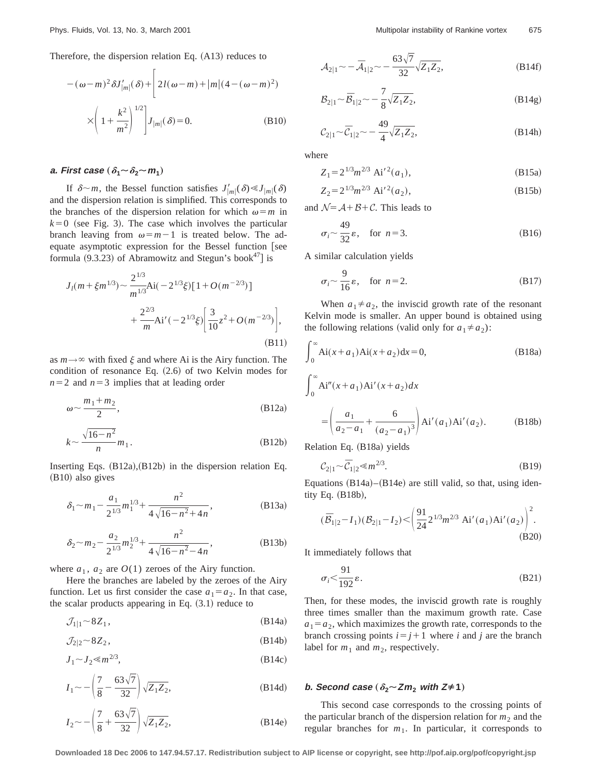Therefore, the dispersion relation Eq.  $(A13)$  reduces to

$$
-(\omega - m)^2 \delta J'_{|m|}(\delta) + \left[ 2l(\omega - m) + |m|(4 - (\omega - m)^2) \times \left( 1 + \frac{k^2}{m^2} \right)^{1/2} \right] J_{|m|}(\delta) = 0.
$$
 (B10)

# **a. First case**  $(\delta_1 \sim \delta_2 \sim m_1)$

If  $\delta \sim m$ , the Bessel function satisfies  $J'_{|m|}(\delta) \ll J_{|m|}(\delta)$ and the dispersion relation is simplified. This corresponds to the branches of the dispersion relation for which  $\omega = m$  in  $k=0$  (see Fig. 3). The case which involves the particular branch leaving from  $\omega = m-1$  is treated below. The adequate asymptotic expression for the Bessel function  $[see]$ formula  $(9.3.23)$  of Abramowitz and Stegun's book<sup>47</sup> is

$$
J_{l}(m+\xi m^{1/3}) \sim \frac{2^{1/3}}{m^{1/3}}Ai(-2^{1/3}\xi)[1+O(m^{-2/3})]
$$
  
+
$$
\frac{2^{2/3}}{m}Ai'(-2^{1/3}\xi)\bigg[\frac{3}{10}z^{2}+O(m^{-2/3})\bigg],
$$
(B11)

as  $m \rightarrow \infty$  with fixed  $\xi$  and where Ai is the Airy function. The condition of resonance Eq.  $(2.6)$  of two Kelvin modes for  $n=2$  and  $n=3$  implies that at leading order

$$
\omega \sim \frac{m_1 + m_2}{2},\tag{B12a}
$$

$$
k \sim \frac{\sqrt{16 - n^2}}{n} m_1.
$$
 (B12b)

Inserting Eqs.  $(B12a)$ ,  $(B12b)$  in the dispersion relation Eq.  $(B10)$  also gives

$$
\delta_1 \sim m_1 - \frac{a_1}{2^{1/3}} m_1^{1/3} + \frac{n^2}{4\sqrt{16 - n^2} + 4n},
$$
 (B13a)

$$
\delta_2 \sim m_2 - \frac{a_2}{2^{1/3}} m_2^{1/3} + \frac{n^2}{4\sqrt{16 - n^2} - 4n},
$$
 (B13b)

where  $a_1$ ,  $a_2$  are  $O(1)$  zeroes of the Airy function.

Here the branches are labeled by the zeroes of the Airy function. Let us first consider the case  $a_1 = a_2$ . In that case, the scalar products appearing in Eq.  $(3.1)$  reduce to

 $\mathcal{J}_{1|1} \sim 8Z_1$ , (B14a)

$$
\mathcal{J}_{2|2} \sim 8Z_2, \tag{B14b}
$$

$$
J_1 \sim J_2 \ll m^{2/3},\tag{B14c}
$$

$$
I_1 \sim -\left(\frac{7}{8} - \frac{63\sqrt{7}}{32}\right)\sqrt{Z_1 Z_2},
$$
 (B14d)

$$
I_2 \sim -\left(\frac{7}{8} + \frac{63\sqrt{7}}{32}\right)\sqrt{Z_1 Z_2},
$$
 (B14e)

$$
A_{2|1} \sim -\overline{A}_{1|2} \sim -\frac{63\sqrt{7}}{32}\sqrt{Z_1 Z_2},
$$
 (B14f)

$$
B_{2|1} \sim \overline{B}_{1|2} \sim -\frac{7}{8} \sqrt{Z_1 Z_2},
$$
 (B14g)

$$
C_{2|1} \sim \overline{C}_{1|2} \sim -\frac{49}{4} \sqrt{Z_1 Z_2},
$$
 (B14h)

where

$$
Z_1 = 2^{1/3} m^{2/3} \text{ Ai}'^2(a_1), \tag{B15a}
$$

$$
Z_2 = 2^{1/3} m^{2/3} \text{ Ai}'^2(a_2), \tag{B15b}
$$

and  $\mathcal{N} = \mathcal{A} + \mathcal{B} + \mathcal{C}$ . This leads to

$$
\sigma_i \sim \frac{49}{32} \varepsilon, \quad \text{for } n = 3. \tag{B16}
$$

A similar calculation yields

$$
\sigma_i \sim \frac{9}{16} \varepsilon, \quad \text{for } n = 2. \tag{B17}
$$

When  $a_1 \neq a_2$ , the inviscid growth rate of the resonant Kelvin mode is smaller. An upper bound is obtained using the following relations (valid only for  $a_1 \neq a_2$ ):

$$
\int_0^\infty A i(x + a_1) A i(x + a_2) dx = 0,
$$
 (B18a)

$$
\int_0^\infty Ai''(x+a_1)Ai'(x+a_2)dx
$$
  
=  $\left(\frac{a_1}{a_2-a_1} + \frac{6}{(a_2-a_1)^3}\right) Ai'(a_1)Ai'(a_2).$  (B18b)

Relation Eq. (B18a) yields

$$
C_{2|1} \sim \overline{C}_{1|2} \ll m^{2/3}.
$$
 (B19)

Equations  $(B14a)$ – $(B14e)$  are still valid, so that, using identity Eq.  $(B18b)$ ,

$$
(\bar{\mathcal{B}}_{1|2} - I_1)(\mathcal{B}_{2|1} - I_2) < \left(\frac{91}{24} 2^{1/3} m^{2/3} \text{ Ai}'(a_1) \text{Ai}'(a_2)\right)^2.
$$
\n(B20)

It immediately follows that

$$
\sigma_i < \frac{91}{192} \varepsilon. \tag{B21}
$$

Then, for these modes, the inviscid growth rate is roughly three times smaller than the maximum growth rate. Case  $a_1 = a_2$ , which maximizes the growth rate, corresponds to the branch crossing points  $i=j+1$  where *i* and *j* are the branch label for  $m_1$  and  $m_2$ , respectively.

### *b.* **Second case**  $(\delta_2 \sim Zm_2$  **with**  $Z \neq 1)$

This second case corresponds to the crossing points of the particular branch of the dispersion relation for  $m_2$  and the regular branches for  $m_1$ . In particular, it corresponds to